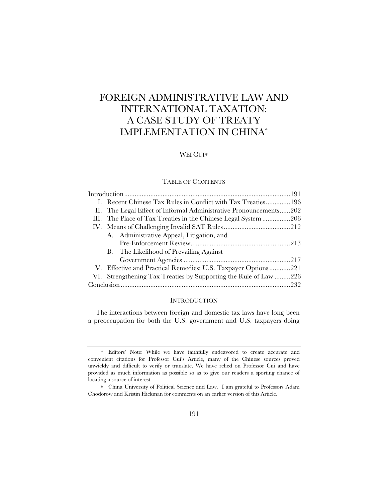# FOREIGN ADMINISTRATIVE LAW AND INTERNATIONAL TAXATION: A CASE STUDY OF TREATY IMPLEMENTATION IN CHINA†

## WEI CUI\*

# TABLE OF CONTENTS

|  | I. Recent Chinese Tax Rules in Conflict with Tax Treaties196      |  |
|--|-------------------------------------------------------------------|--|
|  | II. The Legal Effect of Informal Administrative Pronouncements202 |  |
|  | III. The Place of Tax Treaties in the Chinese Legal System 206    |  |
|  |                                                                   |  |
|  | A. Administrative Appeal, Litigation, and                         |  |
|  |                                                                   |  |
|  | B. The Likelihood of Prevailing Against                           |  |
|  |                                                                   |  |
|  | V. Effective and Practical Remedies: U.S. Taxpayer Options221     |  |
|  | VI. Strengthening Tax Treaties by Supporting the Rule of Law 226  |  |
|  |                                                                   |  |

## **INTRODUCTION**

The interactions between foreign and domestic tax laws have long been a preoccupation for both the U.S. government and U.S. taxpayers doing

<sup>†</sup> Editors' Note: While we have faithfully endeavored to create accurate and convenient citations for Professor Cui's Article, many of the Chinese sources proved unwieldy and difficult to verify or translate. We have relied on Professor Cui and have provided as much information as possible so as to give our readers a sporting chance of locating a source of interest.

China University of Political Science and Law. I am grateful to Professors Adam Chodorow and Kristin Hickman for comments on an earlier version of this Article.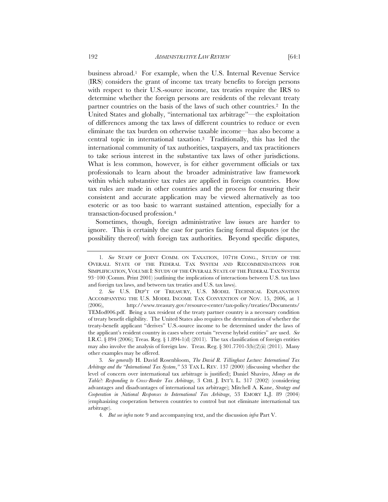business abroad.1 For example, when the U.S. Internal Revenue Service (IRS) considers the grant of income tax treaty benefits to foreign persons with respect to their U.S.-source income, tax treaties require the IRS to determine whether the foreign persons are residents of the relevant treaty partner countries on the basis of the laws of such other countries.2 In the United States and globally, "international tax arbitrage"—the exploitation of differences among the tax laws of different countries to reduce or even eliminate the tax burden on otherwise taxable income—has also become a central topic in international taxation.3 Traditionally, this has led the international community of tax authorities, taxpayers, and tax practitioners to take serious interest in the substantive tax laws of other jurisdictions. What is less common, however, is for either government officials or tax professionals to learn about the broader administrative law framework within which substantive tax rules are applied in foreign countries. How tax rules are made in other countries and the process for ensuring their consistent and accurate application may be viewed alternatively as too esoteric or as too basic to warrant sustained attention, especially for a transaction-focused profession.4

Sometimes, though, foreign administrative law issues are harder to ignore. This is certainly the case for parties facing formal disputes (or the possibility thereof) with foreign tax authorities. Beyond specific disputes,

3*. See generally* H. David Rosenbloom, *The David R. Tillinghast Lecture: International Tax Arbitrage and the "International Tax System*,*"* 53 TAX L. REV. 137 (2000) (discussing whether the level of concern over international tax arbitrage is justified); Daniel Shaviro, *Money on the Table?: Responding to Cross-Border Tax Arbitrage*, 3 CHI. J. INT'L L. 317 (2002) (considering advantages and disadvantages of international tax arbitrage); Mitchell A. Kane, *Strategy and Cooperation in National Responses to International Tax Arbitrage*, 53 EMORY L.J. 89 (2004) (emphasizing cooperation between countries to control but not eliminate international tax arbitrage).

<sup>1</sup>*. See* STAFF OF JOINT COMM. ON TAXATION, 107TH CONG., STUDY OF THE OVERALL STATE OF THE FEDERAL TAX SYSTEM AND RECOMMENDATIONS FOR SIMPLIFICATION, VOLUME I: STUDY OF THE OVERALL STATE OF THE FEDERAL TAX SYSTEM 93–100 (Comm. Print 2001) (outlining the implications of interactions between U.S. tax laws and foreign tax laws, and between tax treaties and U.S. tax laws).

<sup>2</sup>*. See* U.S. DEP'T OF TREASURY, U.S. MODEL TECHNICAL EXPLANATION ACCOMPANYING THE U.S. MODEL INCOME TAX CONVENTION OF NOV. 15, 2006, at 1 (2006), http://www.treasury.gov/resource-center/tax-policy/treaties/Documents/ TEMod006.pdf. Being a tax resident of the treaty partner country is a necessary condition of treaty benefit eligibility. The United States also requires the determination of whether the treaty-benefit applicant "derives" U.S.-source income to be determined under the laws of the applicant's resident country in cases where certain "reverse hybrid entities" are used. *See* I.R.C.  $\S 894$  (2006); Treas. Reg.  $\S 1.894-1(d)$  (2011). The tax classification of foreign entities may also involve the analysis of foreign law. Treas. Reg.  $\S 301.7701-3(b)(2)(ii)$  (2011). Many other examples may be offered.

<sup>4</sup>*. But see infra* note 9 and accompanying text, and the discussion *infra* Part V.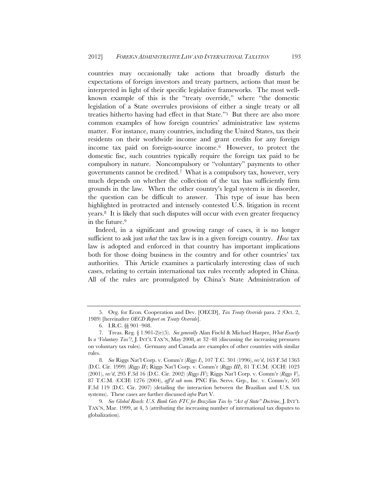countries may occasionally take actions that broadly disturb the expectations of foreign investors and treaty partners, actions that must be interpreted in light of their specific legislative frameworks. The most wellknown example of this is the "treaty override," where "the domestic legislation of a State overrules provisions of either a single treaty or all treaties hitherto having had effect in that State."5 But there are also more common examples of how foreign countries' administrative law systems matter. For instance, many countries, including the United States, tax their residents on their worldwide income and grant credits for any foreign income tax paid on foreign-source income.6 However, to protect the domestic fisc, such countries typically require the foreign tax paid to be compulsory in nature. Noncompulsory or "voluntary" payments to other governments cannot be credited.7 What is a compulsory tax, however, very much depends on whether the collection of the tax has sufficiently firm grounds in the law. When the other country's legal system is in disorder, the question can be difficult to answer. This type of issue has been highlighted in protracted and intensely contested U.S. litigation in recent years.8 It is likely that such disputes will occur with even greater frequency in the future.9

Indeed, in a significant and growing range of cases, it is no longer sufficient to ask just *what* the tax law is in a given foreign country. *How* tax law is adopted and enforced in that country has important implications both for those doing business in the country and for other countries' tax authorities. This Article examines a particularly interesting class of such cases, relating to certain international tax rules recently adopted in China. All of the rules are promulgated by China's State Administration of

<sup>5.</sup> Org. for Econ. Cooperation and Dev. [OECD], *Tax Treaty Override* para. 2 (Oct. 2, 1989) [hereinafter *OECD Report on Treaty Override*].

<sup>6.</sup> I.R.C. §§ 901–908.

<sup>7.</sup> Treas. Reg. § 1.901-2(e)(5). *See generally* Alan Fischl & Michael Harper, *What Exactly* Is *a 'Voluntary Tax'?*, J. INT'L TAX'N, May 2008, at 32–48 (discussing the increasing pressures on voluntary tax rules). Germany and Canada are examples of other countries with similar rules.

<sup>8</sup>*. See* Riggs Nat'l Corp. v. Comm'r (*Riggs I*), 107 T.C. 301 (1996), *rev'd*, 163 F.3d 1363 (D.C. Cir. 1999) (*Riggs II*); Riggs Nat'l Corp. v. Comm'r (*Riggs III*), 81 T.C.M. (CCH) 1023 (2001), *rev'd*, 295 F.3d 16 (D.C. Cir. 2002) (*Riggs IV*); Riggs Nat'l Corp. v. Comm'r (*Riggs V*), 87 T.C.M. (CCH) 1276 (2004), *aff'd sub nom.* PNC Fin. Servs. Grp., Inc. v. Comm'r, 503 F.3d 119 (D.C. Cir. 2007) (detailing the interaction between the Brazilian and U.S. tax systems). These cases are further discussed *infra* Part V.

<sup>9</sup>*. See Global Reach: U.S. Bank Gets FTC for Brazilian Tax by "Act of State" Doctrine*, J. INT'L TAX'N, Mar. 1999, at 4, 5 (attributing the increasing number of international tax disputes to globalization).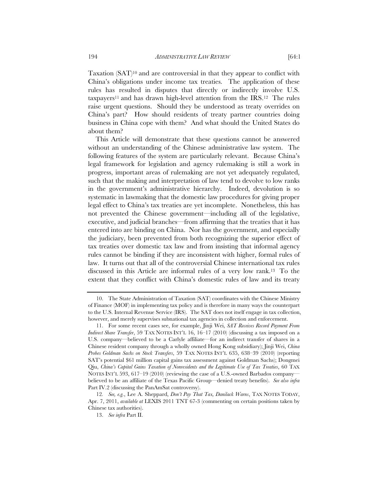Taxation (SAT)10 and are controversial in that they appear to conflict with China's obligations under income tax treaties. The application of these rules has resulted in disputes that directly or indirectly involve U.S. taxpayers<sup>11</sup> and has drawn high-level attention from the  $IRS<sup>12</sup>$ . The rules raise urgent questions. Should they be understood as treaty overrides on China's part? How should residents of treaty partner countries doing business in China cope with them? And what should the United States do about them?

This Article will demonstrate that these questions cannot be answered without an understanding of the Chinese administrative law system. The following features of the system are particularly relevant. Because China's legal framework for legislation and agency rulemaking is still a work in progress, important areas of rulemaking are not yet adequately regulated, such that the making and interpretation of law tend to devolve to low ranks in the government's administrative hierarchy. Indeed, devolution is so systematic in lawmaking that the domestic law procedures for giving proper legal effect to China's tax treaties are yet incomplete. Nonetheless, this has not prevented the Chinese government—including all of the legislative, executive, and judicial branches—from affirming that the treaties that it has entered into are binding on China. Nor has the government, and especially the judiciary, been prevented from both recognizing the superior effect of tax treaties over domestic tax law and from insisting that informal agency rules cannot be binding if they are inconsistent with higher, formal rules of law. It turns out that all of the controversial Chinese international tax rules discussed in this Article are informal rules of a very low rank.13 To the extent that they conflict with China's domestic rules of law and its treaty

<sup>10.</sup> The State Administration of Taxation (SAT) coordinates with the Chinese Ministry of Finance (MOF) in implementing tax policy and is therefore in many ways the counterpart to the U.S. Internal Revenue Service (IRS). The SAT does not itself engage in tax collection, however, and merely supervises subnational tax agencies in collection and enforcement.

<sup>11.</sup> For some recent cases see, for example, Jinji Wei, *SAT Receives Record Payment From Indirect Share Transfer*, 59 TAX NOTES INT'L 16, 16–17 (2010) (discussing a tax imposed on a U.S. company—believed to be a Carlyle affiliate—for an indirect transfer of shares in a Chinese resident company through a wholly owned Hong Kong subsidiary); Jinji Wei, *China Probes Goldman Sachs on Stock Transfers*, 59 TAX NOTES INT'L 635, 638–39 (2010) (reporting SAT's potential \$61 million capital gains tax assessment against Goldman Sachs); Dongmei Qiu, *China's Capital Gains Taxation of Nonresidents and the Legitimate Use of Tax Treaties*, 60 TAX NOTES INT'L 593, 617–19 (2010) (reviewing the case of a U.S.-owned Barbados companybelieved to be an affiliate of the Texas Pacific Group—denied treaty benefits). *See also infra* Part IV.2 (discussing the PanAmSat controversy).

<sup>12</sup>*. See, e.g.*, Lee A. Sheppard, *Don't Pay That Tax, Danilack Warns*, TAX NOTES TODAY, Apr. 7, 2011, *available at* LEXIS 2011 TNT 67-3 (commenting on certain positions taken by Chinese tax authorities).

<sup>13.</sup> *See infra* Part II.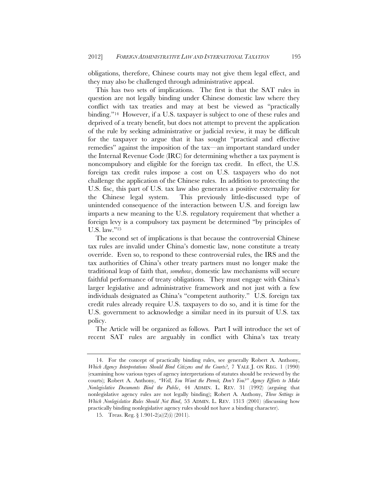obligations, therefore, Chinese courts may not give them legal effect, and they may also be challenged through administrative appeal.

This has two sets of implications. The first is that the SAT rules in question are not legally binding under Chinese domestic law where they conflict with tax treaties and may at best be viewed as "practically binding."14 However, if a U.S. taxpayer is subject to one of these rules and deprived of a treaty benefit, but does not attempt to prevent the application of the rule by seeking administrative or judicial review, it may be difficult for the taxpayer to argue that it has sought "practical and effective remedies" against the imposition of the tax—an important standard under the Internal Revenue Code (IRC) for determining whether a tax payment is noncompulsory and eligible for the foreign tax credit. In effect, the U.S. foreign tax credit rules impose a cost on U.S. taxpayers who do not challenge the application of the Chinese rules. In addition to protecting the U.S. fisc, this part of U.S. tax law also generates a positive externality for the Chinese legal system. This previously little-discussed type of unintended consequence of the interaction between U.S. and foreign law imparts a new meaning to the U.S. regulatory requirement that whether a foreign levy is a compulsory tax payment be determined "by principles of U.S. law."15

The second set of implications is that because the controversial Chinese tax rules are invalid under China's domestic law, none constitute a treaty override. Even so, to respond to these controversial rules, the IRS and the tax authorities of China's other treaty partners must no longer make the traditional leap of faith that, *somehow*, domestic law mechanisms will secure faithful performance of treaty obligations. They must engage with China's larger legislative and administrative framework and not just with a few individuals designated as China's "competent authority." U.S. foreign tax credit rules already require U.S. taxpayers to do so, and it is time for the U.S. government to acknowledge a similar need in its pursuit of U.S. tax policy.

The Article will be organized as follows. Part I will introduce the set of recent SAT rules are arguably in conflict with China's tax treaty

<sup>14.</sup> For the concept of practically binding rules, see generally Robert A. Anthony, *Which Agency Interpretations Should Bind Citizens and the Courts?*, 7 YALE J. ON REG. 1 (1990) (examining how various types of agency interpretations of statutes should be reviewed by the courts); Robert A. Anthony, *"Well, You Want the Permit, Don't You?" Agency Efforts to Make Nonlegislative Documents Bind the Public*, 44 ADMIN. L. REV. 31 (1992) (arguing that nonlegislative agency rules are not legally binding); Robert A. Anthony, *Three Settings in Which Nonlegislative Rules Should Not Bind*, 53 ADMIN. L. REV. 1313 (2001) (discussing how practically binding nonlegislative agency rules should not have a binding character).

<sup>15.</sup> Treas. Reg. § 1.901-2(a)(2)(i) (2011).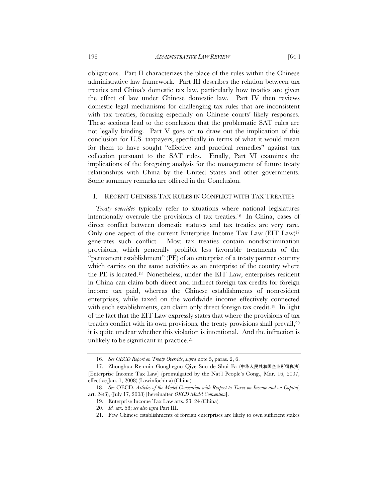obligations. Part II characterizes the place of the rules within the Chinese administrative law framework. Part III describes the relation between tax treaties and China's domestic tax law, particularly how treaties are given the effect of law under Chinese domestic law. Part IV then reviews domestic legal mechanisms for challenging tax rules that are inconsistent with tax treaties, focusing especially on Chinese courts' likely responses. These sections lead to the conclusion that the problematic SAT rules are not legally binding. Part V goes on to draw out the implication of this conclusion for U.S. taxpayers, specifically in terms of what it would mean for them to have sought "effective and practical remedies" against tax collection pursuant to the SAT rules. Finally, Part VI examines the implications of the foregoing analysis for the management of future treaty relationships with China by the United States and other governments. Some summary remarks are offered in the Conclusion.

## I. RECENT CHINESE TAX RULES IN CONFLICT WITH TAX TREATIES

*Treaty overrides* typically refer to situations where national legislatures intentionally overrule the provisions of tax treaties.16 In China, cases of direct conflict between domestic statutes and tax treaties are very rare. Only one aspect of the current Enterprise Income Tax Law (EIT Law)17 generates such conflict. Most tax treaties contain nondiscrimination provisions, which generally prohibit less favorable treatments of the "permanent establishment" (PE) of an enterprise of a treaty partner country which carries on the same activities as an enterprise of the country where the PE is located.18 Nonetheless, under the EIT Law, enterprises resident in China can claim both direct and indirect foreign tax credits for foreign income tax paid, whereas the Chinese establishments of nonresident enterprises, while taxed on the worldwide income effectively connected with such establishments, can claim only direct foreign tax credit.<sup>19</sup> In light of the fact that the EIT Law expressly states that where the provisions of tax treaties conflict with its own provisions, the treaty provisions shall prevail,20 it is quite unclear whether this violation is intentional. And the infraction is unlikely to be significant in practice.21

<sup>16</sup>*. See OECD Report on Treaty Override*, *supra* note 5, paras. 2, 6.

<sup>17.</sup> Zhonghua Renmin Gongheguo Qiye Suo de Shui Fa (中华人民共和国企业所得税法) [Enterprise Income Tax Law] (promulgated by the Nat'l People's Cong., Mar. 16, 2007, effective Jan. 1, 2008) (Lawinfochina) (China).

<sup>18</sup>*. See* OECD, *Articles of the Model Convention with Respect to Taxes on Income and on Capital*, art. 24(3), (July 17, 2008) [hereinafter *OECD Model Convention*].

<sup>19.</sup> Enterprise Income Tax Law arts. 23–24 (China).

<sup>20</sup>*. Id.* art. 58; *see also infra* Part III.

<sup>21.</sup> Few Chinese establishments of foreign enterprises are likely to own sufficient stakes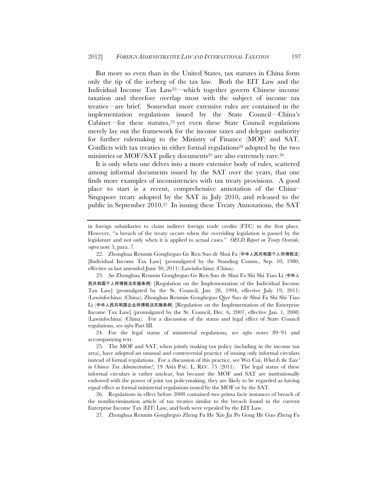But more so even than in the United States, tax statutes in China form only the tip of the iceberg of the tax law. Both the EIT Law and the Individual Income Tax Law22—which together govern Chinese income taxation and therefore overlap most with the subject of income tax treaties—are brief. Somewhat more extensive rules are contained in the implementation regulations issued by the State Council—China's Cabinet—for these statutes, $23$  yet even these State Council regulations merely lay out the framework for the income taxes and delegate authority for further rulemaking to the Ministry of Finance (MOF) and SAT. Conflicts with tax treaties in either formal regulations<sup>24</sup> adopted by the two ministries or MOF/SAT policy documents<sup>25</sup> are also extremely rare.<sup>26</sup>

It is only when one delves into a more extensive body of rules, scattered among informal documents issued by the SAT over the years, that one finds more examples of inconsistencies with tax treaty provisions. A good place to start is a recent, comprehensive annotation of the China– Singapore treaty adopted by the SAT in July 2010, and released to the public in September 2010.27 In issuing these Treaty Annotations, the SAT

27. Zhonghua Renmin Gongheguo Zheng Fu He Xin Jia Po Gong He Guo Zheng Fu

in foreign subsidiaries to claim indirect foreign trade credits (FTC) in the first place. However, "a breach of the treaty occurs when the overriding legislation is passed by the legislature and not only when it is applied to actual cases." *OECD Report on Treaty Override*, *supra* note 5, para. 7.

<sup>22.</sup> Zhonghua Renmin Gongheguo Ge Ren Suo de Shui Fa (中华人民共和国个人所得税法) [Individual Income Tax Law] (promulgated by the Standing Comm., Sep. 10, 1980, effective as last amended June 30, 2011) (Lawinfochina) (China).

<sup>23</sup>*. See* Zhonghua Renmin Gongheguo Ge Ren Suo de Shui Fa Shi Shi Tiao Li (中华人 民共和国个人所得税法实施条例) [Regulation on the Implementation of the Individual Income Tax Law] (promulgated by the St. Council, Jan. 28, 1994, effective July 19, 2011) (Lawinfochina) (China); Zhonghua Renmin Gongheguo Qiye Suo de Shui Fa Shi Shi Tiao Li (中华人民共和国企业所得税法实施条例) [Regulation on the Implementation of the Enterprise Income Tax Law] (promulgated by the St. Council, Dec. 6, 2007, effective Jan. 1, 2008) (Lawinfochina) (China). For a discussion of the status and legal effect of State Council regulations, see *infra* Part III.

<sup>24.</sup> For the legal status of ministerial regulations, see *infra* notes 89–91 and accompanying text.

<sup>25.</sup> The MOF and SAT, when jointly making tax policy (including in the income tax area), have adopted an unusual and controversial practice of issuing only informal circulars instead of formal regulations. For a discussion of this practice, see Wei Cui, *What Is the 'Law' in Chinese Tax Administration?*, 19 ASIA PAC. L. REV. 75 (2011). The legal status of these informal circulars is rather unclear, but because the MOF and SAT are institutionally endowed with the power of joint tax policymaking, they are likely to be regarded as having equal effect as formal ministerial regulations issued by the MOF or by the SAT.

<sup>26.</sup> Regulations in effect before 2008 contained two prima facie instances of breach of the nondiscrimination article of tax treaties similar to the breach found in the current Enterprise Income Tax (EIT) Law, and both were repealed by the EIT Law.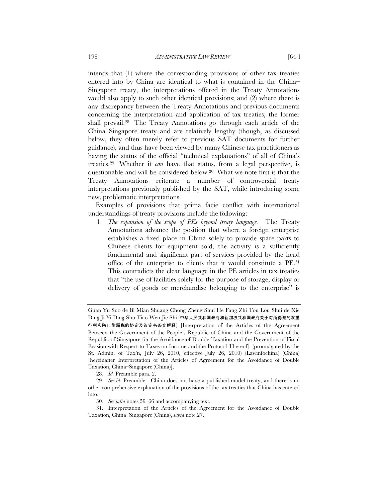intends that (1) where the corresponding provisions of other tax treaties entered into by China are identical to what is contained in the China– Singapore treaty, the interpretations offered in the Treaty Annotations would also apply to such other identical provisions; and (2) where there is any discrepancy between the Treaty Annotations and previous documents concerning the interpretation and application of tax treaties, the former shall prevail.28 The Treaty Annotations go through each article of the China–Singapore treaty and are relatively lengthy (though, as discussed below, they often merely refer to previous SAT documents for further guidance), and thus have been viewed by many Chinese tax practitioners as having the status of the official "technical explanations" of all of China's treaties.29 Whether it *can* have that status, from a legal perspective, is questionable and will be considered below.30 What we note first is that the Treaty Annotations reiterate a number of controversial treaty interpretations previously published by the SAT, while introducing some new, problematic interpretations.

Examples of provisions that prima facie conflict with international understandings of treaty provisions include the following:

1. *The expansion of the scope of PEs beyond treaty language.* The Treaty Annotations advance the position that where a foreign enterprise establishes a fixed place in China solely to provide spare parts to Chinese clients for equipment sold, the activity is a sufficiently fundamental and significant part of services provided by the head office of the enterprise to clients that it would constitute a PE.31 This contradicts the clear language in the PE articles in tax treaties that "the use of facilities solely for the purpose of storage, display or delivery of goods or merchandise belonging to the enterprise" is

28*. Id.* Preamble para. 2.

Guan Yu Suo de Bi Mian Shuang Chong Zheng Shui He Fang Zhi Tou Lou Shui de Xie Ding Ji Yi Ding Shu Tiao Wen Jie Shi (中华人民共和国政府和新加坡共和国政府关于对所得避免双重 征税和防止偷漏税的协定及议定书条文解释) [Interpretation of the Articles of the Agreement Between the Government of the People's Republic of China and the Government of the Republic of Singapore for the Avoidance of Double Taxation and the Prevention of Fiscal Evasion with Respect to Taxes on Income and the Protocol Thereof] (promulgated by the St. Admin. of Tax'n, July 26, 2010, effective July 26, 2010) (Lawinfochina) (China) [hereinafter Interpretation of the Articles of Agreement for the Avoidance of Double Taxation, China–Singapore (China)].

<sup>29</sup>*. See id.* Preamble. China does not have a published model treaty, and there is no other comprehensive explanation of the provisions of the tax treaties that China has entered into.

<sup>30</sup>*. See infra* notes 59–66 and accompanying text.

<sup>31.</sup> Interpretation of the Articles of the Agreement for the Avoidance of Double Taxation, China–Singapore (China), *supra* note 27.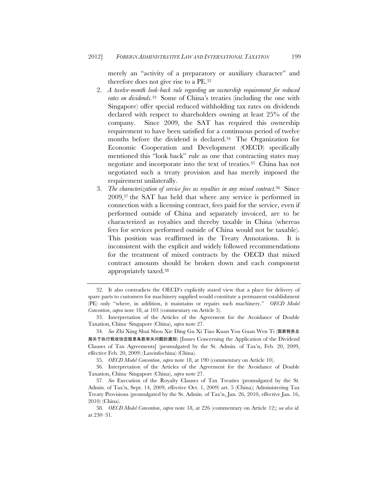merely an "activity of a preparatory or auxiliary character" and therefore does not give rise to a PE.32

- 2. *A twelve-month look-back rule regarding an ownership requirement for reduced rates on dividends.*33 Some of China's treaties (including the one with Singapore) offer special reduced withholding tax rates on dividends declared with respect to shareholders owning at least 25% of the company. Since 2009, the SAT has required this ownership requirement to have been satisfied for a continuous period of twelve months before the dividend is declared.34 The Organization for Economic Cooperation and Development (OECD) specifically mentioned this "look back" rule as one that contracting states may negotiate and incorporate into the text of treaties.35 China has not negotiated such a treaty provision and has merely imposed the requirement unilaterally.
- 3. *The characterization of service fees as royalties in any mixed contract.*36 Since 2009,37 the SAT has held that where any service is performed in connection with a licensing contract, fees paid for the service, even if performed outside of China and separately invoiced, are to be characterized as royalties and thereby taxable in China (whereas fees for services performed outside of China would not be taxable). This position was reaffirmed in the Treaty Annotations. It is inconsistent with the explicit and widely followed recommendations for the treatment of mixed contracts by the OECD that mixed contract amounts should be broken down and each component appropriately taxed.38

<sup>32.</sup> It also contradicts the OECD's explicitly stated view that a place for delivery of spare parts to customers for machinery supplied would constitute a permanent establishment (PE) only "where, in addition, it maintains or repairs such machinery." *OECD Model Convention*, *supra* note 18, at 103 (commentary on Article 5).

<sup>33.</sup> Interpretation of the Articles of the Agreement for the Avoidance of Double Taxation, China–Singapore (China), *supra* note 27.

<sup>34</sup>*. See* Zhi Xing Shui Shou Xie Ding Gu Xi Tiao Kuan You Guan Wen Ti (国家税务总 局关于执行税收协定股息条款有关问题的通知) [Issues Concerning the Application of the Dividend Clauses of Tax Agreements] (promulgated by the St. Admin. of Tax'n, Feb. 20, 2009, effective Feb. 20, 2009) (Lawinfochina) (China).

<sup>35</sup>*. OECD Model Convention*, *supra* note 18, at 190 (commentary on Article 10).

<sup>36.</sup> Interpretation of the Articles of the Agreement for the Avoidance of Double Taxation, China–Singapore (China), *supra* note 27.

<sup>37</sup>*. See* Execution of the Royalty Clauses of Tax Treaties (promulgated by the St. Admin. of Tax'n, Sept. 14, 2009, effective Oct. 1, 2009) art. 5 (China); Administering Tax Treaty Provisions (promulgated by the St. Admin. of Tax'n, Jan. 26, 2010, effective Jan. 16, 2010) (China).

<sup>38</sup>*. OECD Model Convention*, *supra* note 18, at 226 (commentary on Article 12); *see also id.* at 230–31.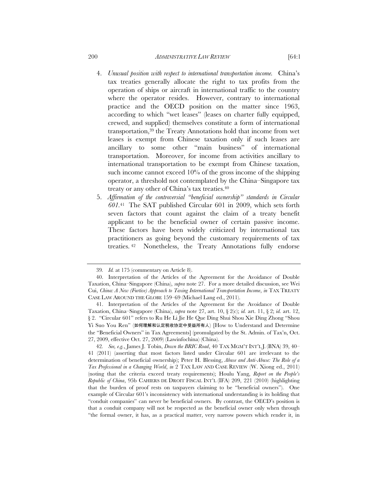#### 200 *ADMINISTRATIVE LAW REVIEW* [64:1

- 4. *Unusual position with respect to international transportation income.* China's tax treaties generally allocate the right to tax profits from the operation of ships or aircraft in international traffic to the country where the operator resides. However, contrary to international practice and the OECD position on the matter since 1963, according to which "wet leases" (leases on charter fully equipped, crewed, and supplied) themselves constitute a form of international transportation,39 the Treaty Annotations hold that income from wet leases is exempt from Chinese taxation only if such leases are ancillary to some other "main business" of international transportation. Moreover, for income from activities ancillary to international transportation to be exempt from Chinese taxation, such income cannot exceed 10% of the gross income of the shipping operator, a threshold not contemplated by the China–Singapore tax treaty or any other of China's tax treaties.40
- 5. *Affirmation of the controversial "beneficial ownership" standards in Circular 601.*41 The SAT published Circular 601 in 2009, which sets forth seven factors that count against the claim of a treaty benefit applicant to be the beneficial owner of certain passive income. These factors have been widely criticized by international tax practitioners as going beyond the customary requirements of tax treaties. 42 Nonetheless, the Treaty Annotations fully endorse

<sup>39</sup>*. Id.* at 175 (commentary on Article 8).

<sup>40.</sup> Interpretation of the Articles of the Agreement for the Avoidance of Double Taxation, China–Singapore (China), *supra* note 27. For a more detailed discussion, see Wei Cui, *China: A New (Furtive) Approach to Taxing International Transportation Income*, *in* TAX TREATY CASE LAW AROUND THE GLOBE 159–69 (Michael Lang ed., 2011).

<sup>41.</sup> Interpretation of the Articles of the Agreement for the Avoidance of Double Taxation, China–Singapore (China), *supra* note 27, art. 10, § 2(c); *id.* art. 11, § 2; *id.* art. 12, § 2. "Circular 601" refers to Ru He Li Jie He Que Ding Shui Shou Xie Ding Zhong "Shou Yi Suo You Ren" (如何理解和认定税收协定中受益所有人) [How to Understand and Determine the "Beneficial Owners" in Tax Agreements] (promulgated by the St. Admin. of Tax'n, Oct. 27, 2009, effective Oct. 27, 2009) (Lawinfochina) (China).

<sup>42</sup>*. See, e.g.*, James J. Tobin, *Down the BRIC Road*, 40 TAX MGM'T INT'L J. (BNA) 39, 40– 41 (2011) (asserting that most factors listed under Circular 601 are irrelevant to the determination of beneficial ownership); Peter H. Blessing, *Abuse and Anti-Abuse: The Role of a Tax Professional in a Changing World*, *in* 2 TAX LAW AND CASE REVIEW (W. Xiong ed., 2011) (noting that the criteria exceed treaty requirements); Houlu Yang, *Report on the People's Republic of China*, 95b CAHIERS DE DROIT FISCAL INT'L (IFA) 209, 221 (2010) (highlighting that the burden of proof rests on taxpayers claiming to be "beneficial owners"). One example of Circular 601's inconsistency with international understanding is its holding that "conduit companies" can never be beneficial owners. By contrast, the OECD's position is that a conduit company will not be respected as the beneficial owner only when through "the formal owner, it has, as a practical matter, very narrow powers which render it, in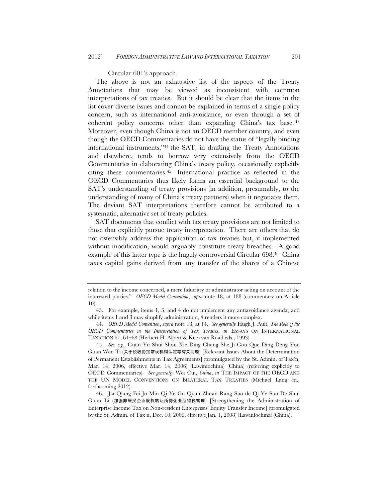Circular 601's approach.

The above is not an exhaustive list of the aspects of the Treaty Annotations that may be viewed as inconsistent with common interpretations of tax treaties. But it should be clear that the items in the list cover diverse issues and cannot be explained in terms of a single policy concern, such as international anti-avoidance, or even through a set of coherent policy concerns other than expanding China's tax base. 43 Moreover, even though China is not an OECD member country, and even though the OECD Commentaries do not have the status of "legally binding international instruments,"44 the SAT, in drafting the Treaty Annotations and elsewhere, tends to borrow very extensively from the OECD Commentaries in elaborating China's treaty policy, occasionally explicitly citing these commentaries.45 International practice as reflected in the OECD Commentaries thus likely forms an essential background to the SAT's understanding of treaty provisions (in addition, presumably, to the understanding of many of China's treaty partners) when it negotiates them. The deviant SAT interpretations therefore cannot be attributed to a systematic, alternative set of treaty policies.

SAT documents that conflict with tax treaty provisions are not limited to those that explicitly pursue treaty interpretation. There are others that do not ostensibly address the application of tax treaties but, if implemented without modification, would arguably constitute treaty breaches. A good example of this latter type is the hugely controversial Circular 698.46 China taxes capital gains derived from any transfer of the shares of a Chinese

relation to the income concerned, a mere fiduciary or administrator acting on account of the interested parties." *OECD Model Convention*, *supra* note 18, at 188 (commentary on Article 10).

<sup>43.</sup> For example, items 1, 3, and 4 do not implement any antiavoidance agenda, and while items 1 and 3 may simplify administration, 4 renders it more complex.

<sup>44</sup>*. OECD Model Convention*, *supra* note 18, at 14. *See generally* Hugh J. Ault, *The Role of the OECD Commentaries in the Interpretation of Tax Treaties*, *in* ESSAYS ON INTERNATIONAL TAXATION 61, 61–68 (Herbert H. Alpert & Kees van Raad eds., 1993).

<sup>45</sup>*. See, e.g.*, Guan Yu Shui Shou Xie Ding Chang She Ji Gou Que Ding Deng You Guan Wen Ti (关于税收协定常设机构认定等有关问题) [Relevant Issues About the Determination of Permanent Establishments in Tax Agreements] (promulgated by the St. Admin. of Tax'n, Mar. 14, 2006, effective Mar. 14, 2006) (Lawinfochina) (China) (referring explicitly to OECD Commentaries). *See generally* Wei Cui, *China*, *in* THE IMPACT OF THE OECD AND THE UN MODEL CONVENTIONS ON BILATERAL TAX TREATIES (Michael Lang ed., forthcoming 2012).

<sup>46.</sup> Jia Qiang Fei Ju Min Qi Ye Gu Quan Zhuan Rang Suo de Qi Ye Suo De Shui Guan Li (加强非居民企业股权转让所得企业所得税管理) [Strengthening the Administration of Enterprise Income Tax on Non-resident Enterprises' Equity Transfer Income] (promulgated by the St. Admin. of Tax'n, Dec. 10, 2009, effective Jan. 1, 2008) (Lawinfochina) (China).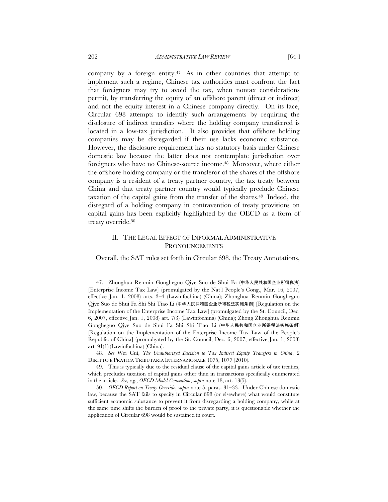company by a foreign entity.<sup>47</sup> As in other countries that attempt to implement such a regime, Chinese tax authorities must confront the fact that foreigners may try to avoid the tax, when nontax considerations permit, by transferring the equity of an offshore parent (direct or indirect) and not the equity interest in a Chinese company directly. On its face, Circular 698 attempts to identify such arrangements by requiring the disclosure of indirect transfers where the holding company transferred is located in a low-tax jurisdiction. It also provides that offshore holding companies may be disregarded if their use lacks economic substance. However, the disclosure requirement has no statutory basis under Chinese domestic law because the latter does not contemplate jurisdiction over foreigners who have no Chinese-source income.48 Moreover, where either the offshore holding company or the transferor of the shares of the offshore company is a resident of a treaty partner country, the tax treaty between China and that treaty partner country would typically preclude Chinese taxation of the capital gains from the transfer of the shares.49 Indeed, the disregard of a holding company in contravention of treaty provisions on capital gains has been explicitly highlighted by the OECD as a form of treaty override.<sup>50</sup>

# II. THE LEGAL EFFECT OF INFORMAL ADMINISTRATIVE PRONOUNCEMENTS

Overall, the SAT rules set forth in Circular 698, the Treaty Annotations,

<sup>47.</sup> Zhonghua Renmin Gongheguo Qiye Suo de Shui Fa (中华人民共和国企业所得税法) [Enterprise Income Tax Law] (promulgated by the Nat'l People's Cong., Mar. 16, 2007, effective Jan. 1, 2008) arts. 3–4 (Lawinfochina) (China); Zhonghua Renmin Gongheguo Qiye Suo de Shui Fa Shi Shi Tiao Li (中华人民共和国企业所得税法实施条例) [Regulation on the Implementation of the Enterprise Income Tax Law] (promulgated by the St. Council, Dec. 6, 2007, effective Jan. 1, 2008) art. 7(3) (Lawinfochina) (China); Zhong Zhonghua Renmin Gongheguo Qiye Suo de Shui Fa Shi Shi Tiao Li (中华人民共和国企业所得税法实施条例) [Regulation on the Implementation of the Enterprise Income Tax Law of the People's Republic of China] (promulgated by the St. Council, Dec. 6, 2007, effective Jan. 1, 2008) art. 91(1) (Lawinfochina) (China).

<sup>48</sup>*. See* Wei Cui, *The Unauthorized Decision to Tax Indirect Equity Transfers in China*, 2 DIRITTO E PRATICA TRIBUTARIA INTERNAZIONALE 1075, 1077 (2010).

<sup>49.</sup> This is typically due to the residual clause of the capital gains article of tax treaties, which precludes taxation of capital gains other than in transactions specifically enumerated in the article. *See, e.g.*, *OECD Model Convention*, *supra* note 18, art. 13(5).

<sup>50</sup>*. OECD Report on Treaty Override*, *supra* note 5, paras. 31–33. Under Chinese domestic law, because the SAT fails to specify in Circular 698 (or elsewhere) what would constitute sufficient economic substance to prevent it from disregarding a holding company, while at the same time shifts the burden of proof to the private party, it is questionable whether the application of Circular 698 would be sustained in court.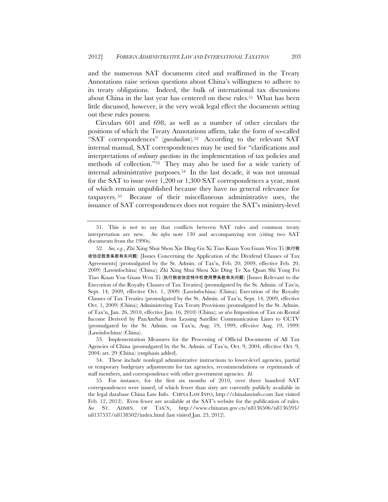and the numerous SAT documents cited and reaffirmed in the Treaty Annotations raise serious questions about China's willingness to adhere to its treaty obligations. Indeed, the bulk of international tax discussions about China in the last year has centered on these rules.<sup>51</sup> What has been little discussed, however, is the very weak legal effect the documents setting out these rules possess.

Circulars 601 and 698, as well as a number of other circulars the positions of which the Treaty Annotations affirm, take the form of so-called "SAT correspondences" (*guoshuihan*).52 According to the relevant SAT internal manual, SAT correspondences may be used for "clarifications and interpretations of *ordinary questions* in the implementation of tax policies and methods of collection."53 They may also be used for a wide variety of internal administrative purposes.54 In the last decade, it was not unusual for the SAT to issue over 1,200 or 1,300 SAT correspondences a year, most of which remain unpublished because they have no general relevance for taxpayers. 55 Because of their miscellaneous administrative uses, the issuance of SAT correspondences does not require the SAT's ministry-level

<sup>51.</sup> This is not to say that conflicts between SAT rules and common treaty interpretation are new. *See infra* note 130 and accompanying text (citing two SAT documents from the 1990s).

<sup>52</sup>*. See, e.g.*, Zhi Xing Shui Shou Xie Ding Gu Xi Tiao Kuan You Guan Wen Ti (执行税 收协定股息条款有关问题) [Issues Concerning the Application of the Dividend Clauses of Tax Agreements] (promulgated by the St. Admin. of Tax'n, Feb. 20, 2009, effective Feb. 20, 2009) (Lawinfochina) (China); Zhi Xing Shui Shou Xie Ding Te Xu Quan Shi Yong Fei Tiao Kuan You Guan Wen Ti (执行税收协定特许权使用费条款有关问题) [Issues Relevant to the Execution of the Royalty Clauses of Tax Treaties] (promulgated by the St. Admin. of Tax'n, Sept. 14, 2009, effective Oct. 1, 2009) (Lawinfochina) (China); Execution of the Royalty Clauses of Tax Treaties (promulgated by the St. Admin. of Tax'n, Sept. 14, 2009, effective Oct. 1, 2009) (China); Administering Tax Treaty Provisions (promulgated by the St. Admin. of Tax'n, Jan. 26, 2010, effective Jan. 16, 2010) (China); *see also* Imposition of Tax on Rental Income Derived by PanAmSat from Leasing Satellite Communication Lines to CCTV (promulgated by the St. Admin. on Tax'n, Aug. 19, 1999, effective Aug. 19, 1999) (Lawinfochina) (China).

<sup>53.</sup> Implementation Measures for the Processing of Official Documents of All Tax Agencies of China (promulgated by the St. Admin. of Tax'n, Oct. 9, 2004, effective Oct. 9, 2004) art. 29 (China) (emphasis added).

<sup>54.</sup> These include nonlegal administrative instructions to lower-level agencies, partial or temporary budgetary adjustments for tax agencies, recommendations or reprimands of staff members, and correspondence with other government agencies. *Id.*

<sup>55.</sup> For instance, for the first six months of 2010, over three hundred SAT correspondences were issued, of which fewer than sixty are currently publicly available in the legal database China Law Info. CHINA LAW INFO, http://chinalawinfo.com (last visited Feb. 12, 2012). Even fewer are available at the SAT's website for the publication of rules. *See* ST. ADMIN. OF TAX'N, http://www.chinatax.gov.cn/n8136506/n8136593/ n8137537/n8138502/index.html (last visited Jan. 23, 2012).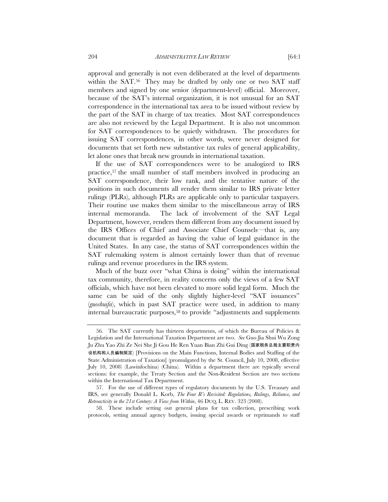approval and generally is not even deliberated at the level of departments within the  $SAT<sup>56</sup>$ . They may be drafted by only one or two  $SAT$  staff members and signed by one senior (department-level) official. Moreover, because of the SAT's internal organization, it is not unusual for an SAT correspondence in the international tax area to be issued without review by the part of the SAT in charge of tax treaties. Most SAT correspondences are also not reviewed by the Legal Department. It is also not uncommon for SAT correspondences to be quietly withdrawn. The procedures for issuing SAT correspondences, in other words, were never designed for documents that set forth new substantive tax rules of general applicability, let alone ones that break new grounds in international taxation.

If the use of SAT correspondences were to be analogized to IRS practice,57 the small number of staff members involved in producing an SAT correspondence, their low rank, and the tentative nature of the positions in such documents all render them similar to IRS private letter rulings (PLRs), although PLRs are applicable only to particular taxpayers. Their routine use makes them similar to the miscellaneous array of IRS internal memoranda. The lack of involvement of the SAT Legal Department, however, renders them different from any document issued by the IRS Offices of Chief and Associate Chief Counsels—that is, any document that is regarded as having the value of legal guidance in the United States. In any case, the status of SAT correspondences within the SAT rulemaking system is almost certainly lower than that of revenue rulings and revenue procedures in the IRS system.

Much of the buzz over "what China is doing" within the international tax community, therefore, in reality concerns only the views of a few SAT officials, which have not been elevated to more solid legal form. Much the same can be said of the only slightly higher-level "SAT issuances" (*guoshuifa*), which in past SAT practice were used, in addition to many internal bureaucratic purposes,58 to provide "adjustments and supplements

<sup>56.</sup> The SAT currently has thirteen departments, of which the Bureau of Policies & Legislation and the International Taxation Department are two. *See* Guo Jia Shui Wu Zong Ju Zhu Yao Zhi Ze Nei She Ji Gou He Ren Yuan Bian Zhi Gui Ding (国家税务总局主要职责内 设机构和人员编制规定) [Provisions on the Main Functions, Internal Bodies and Staffing of the State Administration of Taxation] (promulgated by the St. Council, July 10, 2008, effective July 10, 2008) (Lawinfochina) (China). Within a department there are typically several sections: for example, the Treaty Section and the Non-Resident Section are two sections within the International Tax Department.

<sup>57.</sup> For the use of different types of regulatory documents by the U.S. Treasury and IRS, see generally Donald L. Korb, *The Four R's Revisited: Regulations, Rulings, Reliance, and Retroactivity in the 21st Century: A View from Within*, 46 DUQ. L. REV. 323 (2008).

<sup>58.</sup> These include setting out general plans for tax collection, prescribing work protocols, setting annual agency budgets, issuing special awards or reprimands to staff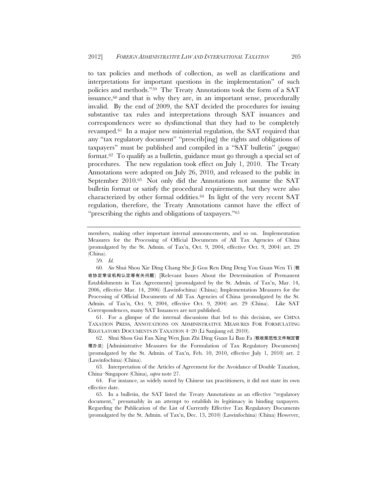to tax policies and methods of collection, as well as clarifications and interpretations for important questions in the implementation" of such policies and methods."59 The Treaty Annotations took the form of a SAT issuance, $60$  and that is why they are, in an important sense, procedurally invalid. By the end of 2009, the SAT decided the procedures for issuing substantive tax rules and interpretations through SAT issuances and correspondences were so dysfunctional that they had to be completely revamped.61 In a major new ministerial regulation, the SAT required that any "tax regulatory document" "prescrib[ing] the rights and obligations of taxpayers" must be published and compiled in a "SAT bulletin" (*gonggao*) format.62 To qualify as a bulletin, guidance must go through a special set of procedures. The new regulation took effect on July 1, 2010. The Treaty Annotations were adopted on July 26, 2010, and released to the public in September 2010.63 Not only did the Annotations not assume the SAT bulletin format or satisfy the procedural requirements, but they were also characterized by other formal oddities.<sup>64</sup> In light of the very recent SAT regulation, therefore, the Treaty Annotations cannot have the effect of "prescribing the rights and obligations of taxpayers."65

61. For a glimpse of the internal discussions that led to this decision, see CHINA TAXATION PRESS, ANNOTATIONS ON ADMINISTRATIVE MEASURES FOR FORMULATING REGULATORY DOCUMENTS IN TAXATION 4–20 (Li Sanjiang ed. 2010).

62. Shui Shou Gui Fan Xing Wen Jian Zhi Ding Guan Li Ban Fa (税收规范性文件制定管 理办法) [Administrative Measures for the Formulation of Tax Regulatory Documents] (promulgated by the St. Admin. of Tax'n, Feb. 10, 2010, effective July 1, 2010) art. 2 (Lawinfochina) (China).

63. Interpretation of the Articles of Agreement for the Avoidance of Double Taxation, China–Singapore (China), *supra* note 27.

64. For instance, as widely noted by Chinese tax practitioners, it did not state its own effective date.

65. In a bulletin, the SAT listed the Treaty Annotations as an effective "regulatory document," presumably in an attempt to establish its legitimacy in binding taxpayers. Regarding the Publication of the List of Currently Effective Tax Regulatory Documents (promulgated by the St. Admin. of Tax'n, Dec. 13, 2010) (Lawinfochina) (China) However,

members, making other important internal announcements, and so on. Implementation Measures for the Processing of Official Documents of All Tax Agencies of China (promulgated by the St. Admin. of Tax'n, Oct. 9, 2004, effective Oct. 9, 2004) art. 29 (China).

<sup>59</sup>*. Id.*

<sup>60</sup>*. See* Shui Shou Xie Ding Chang She Ji Gou Ren Ding Deng You Guan Wen Ti (税 收协定常设机构认定等有关问题) [Relevant Issues About the Determination of Permanent Establishments in Tax Agreements] (promulgated by the St. Admin. of Tax'n, Mar. 14, 2006, effective Mar. 14, 2006) (Lawinfochina) (China); Implementation Measures for the Processing of Official Documents of All Tax Agencies of China (promulgated by the St. Admin. of Tax'n, Oct. 9, 2004, effective Oct. 9, 2004) art. 29 (China). Like SAT Correspondences, many SAT Issuances are not published.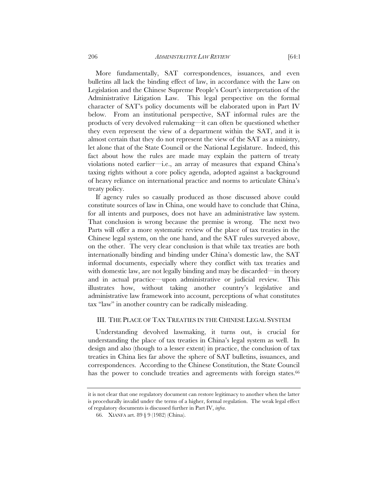More fundamentally, SAT correspondences, issuances, and even bulletins all lack the binding effect of law, in accordance with the Law on Legislation and the Chinese Supreme People's Court's interpretation of the Administrative Litigation Law. This legal perspective on the formal character of SAT's policy documents will be elaborated upon in Part IV below. From an institutional perspective, SAT informal rules are the products of very devolved rulemaking—it can often be questioned whether they even represent the view of a department within the SAT, and it is almost certain that they do not represent the view of the SAT as a ministry, let alone that of the State Council or the National Legislature. Indeed, this fact about how the rules are made may explain the pattern of treaty violations noted earlier—i.e., an array of measures that expand China's taxing rights without a core policy agenda, adopted against a background of heavy reliance on international practice and norms to articulate China's treaty policy.

If agency rules so casually produced as those discussed above could constitute sources of law in China, one would have to conclude that China, for all intents and purposes, does not have an administrative law system. That conclusion is wrong because the premise is wrong. The next two Parts will offer a more systematic review of the place of tax treaties in the Chinese legal system, on the one hand, and the SAT rules surveyed above, on the other. The very clear conclusion is that while tax treaties are both internationally binding and binding under China's domestic law, the SAT informal documents, especially where they conflict with tax treaties and with domestic law, are not legally binding and may be discarded—in theory and in actual practice—upon administrative or judicial review. This illustrates how, without taking another country's legislative and administrative law framework into account, perceptions of what constitutes tax "law" in another country can be radically misleading.

### III. THE PLACE OF TAX TREATIES IN THE CHINESE LEGAL SYSTEM

Understanding devolved lawmaking, it turns out, is crucial for understanding the place of tax treaties in China's legal system as well. In design and also (though to a lesser extent) in practice, the conclusion of tax treaties in China lies far above the sphere of SAT bulletins, issuances, and correspondences. According to the Chinese Constitution, the State Council has the power to conclude treaties and agreements with foreign states.<sup>66</sup>

it is not clear that one regulatory document can restore legitimacy to another when the latter is procedurally invalid under the terms of a higher, formal regulation. The weak legal effect of regulatory documents is discussed further in Part IV, *infra*.

<sup>66.</sup> XIANFA art. 89 § 9 (1982) (China).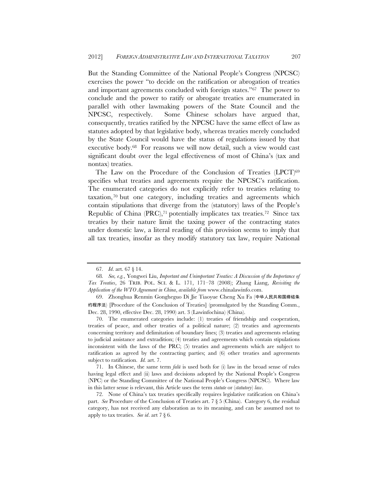But the Standing Committee of the National People's Congress (NPCSC) exercises the power "to decide on the ratification or abrogation of treaties and important agreements concluded with foreign states."67 The power to conclude and the power to ratify or abrogate treaties are enumerated in parallel with other lawmaking powers of the State Council and the NPCSC, respectively. Some Chinese scholars have argued that, consequently, treaties ratified by the NPCSC have the same effect of law as statutes adopted by that legislative body, whereas treaties merely concluded by the State Council would have the status of regulations issued by that executive body.68 For reasons we will now detail, such a view would cast significant doubt over the legal effectiveness of most of China's (tax and nontax) treaties.

The Law on the Procedure of the Conclusion of Treaties (LPCT)69 specifies what treaties and agreements require the NPCSC's ratification. The enumerated categories do not explicitly refer to treaties relating to taxation,70 but one category, including treaties and agreements which contain stipulations that diverge from the (statutory) laws of the People's Republic of China  $(PRC),<sup>71</sup>$  potentially implicates tax treaties.<sup>72</sup> Since tax treaties by their nature limit the taxing power of the contracting states under domestic law, a literal reading of this provision seems to imply that all tax treaties, insofar as they modify statutory tax law, require National

70. The enumerated categories include: (1) treaties of friendship and cooperation, treaties of peace, and other treaties of a political nature; (2) treaties and agreements concerning territory and delimitation of boundary lines; (3) treaties and agreements relating to judicial assistance and extradition; (4) treaties and agreements which contain stipulations inconsistent with the laws of the PRC; (5) treaties and agreements which are subject to ratification as agreed by the contracting parties; and (6) other treaties and agreements subject to ratification. *Id.* art. 7.

71. In Chinese, the same term *falü* is used both for (i) law in the broad sense of rules having legal effect and (ii) laws and decisions adopted by the National People's Congress (NPC) or the Standing Committee of the National People's Congress (NPCSC). Where law in this latter sense is relevant, this Article uses the term *statute* or (*statutory*) *law*.

72. None of China's tax treaties specifically requires legislative ratification on China's part. *See* Procedure of the Conclusion of Treaties art. 7 § 5 (China). Category 6, the residual category, has not received any elaboration as to its meaning, and can be assumed not to apply to tax treaties. *See id*. art 7 § 6.

<sup>67</sup>*. Id*. art. 67 § 14.

<sup>68</sup>*. See, e.g.*, Yongwei Liu, *Important and Unimportant Treaties: A Discussion of the Importance of Tax Treaties*, 26 TRIB. POL. SCI. & L. 171, 171–78 (2008); Zhang Liang, *Revisiting the Application of the WTO Agreement in China*, *available from* www.chinalawinfo.com.

<sup>69.</sup> Zhonghua Renmin Gongheguo Di Jie Tiaoyue Cheng Xu Fa (中华人民共和国缔结条 约程序法) [Procedure of the Conclusion of Treaties] (promulgated by the Standing Comm., Dec. 28, 1990, effective Dec. 28, 1990) art. 3 (Lawinfochina) (China).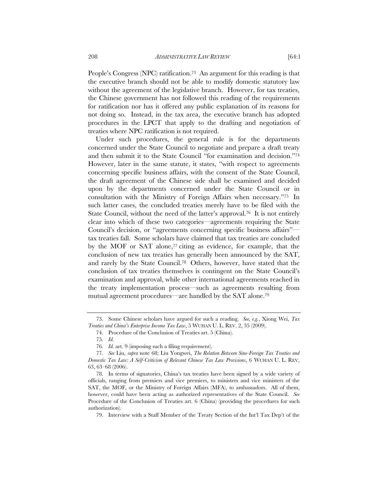People's Congress (NPC) ratification.<sup>73</sup> An argument for this reading is that the executive branch should not be able to modify domestic statutory law without the agreement of the legislative branch. However, for tax treaties, the Chinese government has not followed this reading of the requirements for ratification nor has it offered any public explanation of its reasons for not doing so. Instead, in the tax area, the executive branch has adopted procedures in the LPCT that apply to the drafting and negotiation of treaties where NPC ratification is not required.

Under such procedures, the general rule is for the departments concerned under the State Council to negotiate and prepare a draft treaty and then submit it to the State Council "for examination and decision."74 However, later in the same statute, it states, "with respect to agreements concerning specific business affairs, with the consent of the State Council, the draft agreement of the Chinese side shall be examined and decided upon by the departments concerned under the State Council or in consultation with the Ministry of Foreign Affairs when necessary."75 In such latter cases, the concluded treaties merely have to be filed with the State Council, without the need of the latter's approval.<sup>76</sup> It is not entirely clear into which of these two categories—agreements requiring the State Council's decision, or "agreements concerning specific business affairs" tax treaties fall. Some scholars have claimed that tax treaties are concluded by the MOF or SAT alone,<sup>77</sup> citing as evidence, for example, that the conclusion of new tax treaties has generally been announced by the SAT, and rarely by the State Council.78 Others, however, have stated that the conclusion of tax treaties themselves is contingent on the State Council's examination and approval, while other international agreements reached in the treaty implementation process—such as agreements resulting from mutual agreement procedures—are handled by the SAT alone.79

<sup>73.</sup> Some Chinese scholars have argued for such a reading. *See, e.g.*, Xiong Wei, *Tax Treaties and China's Enterprise Income Tax Law*, 5 WUHAN U. L. REV. 2, 35 (2009).

<sup>74.</sup> Procedure of the Conclusion of Treaties art. 5 (China).

<sup>75</sup>*. Id.*

<sup>76</sup>*. Id.* art. 9 (imposing such a filing requirement).

<sup>77</sup>*. See* Liu, *supra* note 68; Liu Yongwei, *The Relation Between Sino-Foreign Tax Treaties and Domestic Tax Law: A Self-Criticism of Relevant Chinese Tax Law Provisions*, 6 WUHAN U. L. REV, 63, 63–68 (2006).

<sup>78.</sup> In terms of signatories, China's tax treaties have been signed by a wide variety of officials, ranging from premiers and vice premiers, to ministers and vice ministers of the SAT, the MOF, or the Ministry of Foreign Affairs (MFA), to ambassadors. All of them, however, could have been acting as authorized representatives of the State Council. *See*  Procedure of the Conclusion of Treaties art. 6 (China) (providing the procedures for such authorization).

<sup>79.</sup> Interview with a Staff Member of the Treaty Section of the Int'l Tax Dep't of the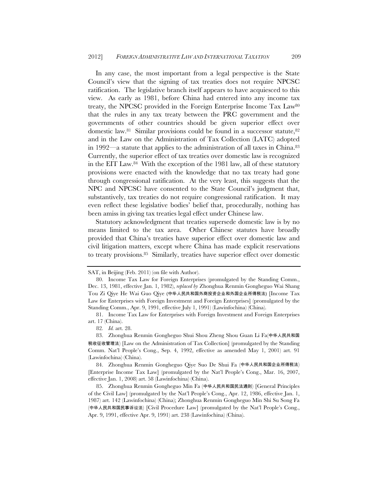In any case, the most important from a legal perspective is the State Council's view that the signing of tax treaties does not require NPCSC ratification. The legislative branch itself appears to have acquiesced to this view. As early as 1981, before China had entered into any income tax treaty, the NPCSC provided in the Foreign Enterprise Income Tax Law80 that the rules in any tax treaty between the PRC government and the governments of other countries should be given superior effect over domestic law.<sup>81</sup> Similar provisions could be found in a successor statute, <sup>82</sup> and in the Law on the Administration of Tax Collection (LATC) adopted in 1992—a statute that applies to the administration of all taxes in China.83 Currently, the superior effect of tax treaties over domestic law is recognized in the EIT Law.84 With the exception of the 1981 law, all of these statutory provisions were enacted with the knowledge that no tax treaty had gone through congressional ratification. At the very least, this suggests that the NPC and NPCSC have consented to the State Council's judgment that, substantively, tax treaties do not require congressional ratification. It may even reflect these legislative bodies' belief that, procedurally, nothing has been amiss in giving tax treaties legal effect under Chinese law.

Statutory acknowledgment that treaties supersede domestic law is by no means limited to the tax area. Other Chinese statutes have broadly provided that China's treaties have superior effect over domestic law and civil litigation matters, except where China has made explicit reservations to treaty provisions.85 Similarly, treaties have superior effect over domestic

82*. Id.* art. 28.

83. Zhonghua Renmin Gongheguo Shui Shou Zheng Shou Guan Li Fa(中华人民共和国 税收征收管理法) [Law on the Administration of Tax Collection] (promulgated by the Standing Comm. Nat'l People's Cong., Sep. 4, 1992, effective as amended May 1, 2001) art. 91 (Lawinfochina) (China).

84. Zhonghua Renmin Gongheguo Qiye Suo De Shui Fa (中华人民共和国企业所得税法) [Enterprise Income Tax Law] (promulgated by the Nat'l People's Cong., Mar. 16, 2007, effective Jan. 1, 2008) art. 58 (Lawinfochina) (China).

85. Zhonghua Renmin Gongheguo Min Fa (中华人民共和国民法通则) [General Principles of the Civil Law] (promulgated by the Nat'l People's Cong., Apr. 12, 1986, effective Jan. 1, 1987) art. 142 (Lawinfochina) (China); Zhonghua Renmin Gongheguo Min Shi Su Song Fa (中华人民共和国民事诉讼法) [Civil Procedure Law] (promulgated by the Nat'l People's Cong., Apr. 9, 1991, effective Apr. 9, 1991) art. 238 (Lawinfochina) (China).

SAT, in Beijing (Feb. 2011) (on file with Author).

<sup>80.</sup> Income Tax Law for Foreign Enterprises (promulgated by the Standing Comm., Dec. 13, 1981, effective Jan. 1, 1982), *replaced by* Zhonghua Renmin Gongheguo Wai Shang Tou Zi Qiye He Wai Guo Qiye (中华人民共和国外商投资企业和外国企业所得税法) [Income Tax Law for Enterprises with Foreign Investment and Foreign Enterprises] (promulgated by the Standing Comm., Apr. 9, 1991, effective July 1, 1991) (Lawinfochina) (China).

<sup>81.</sup> Income Tax Law for Enterprises with Foreign Investment and Foreign Enterprises art. 17 (China).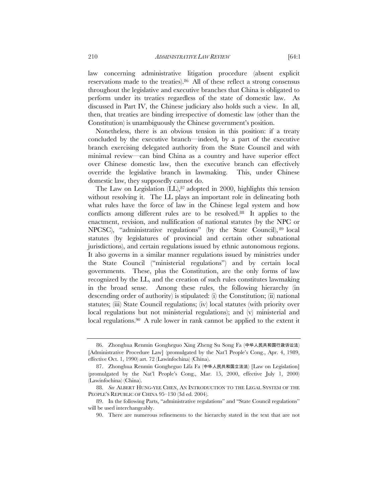law concerning administrative litigation procedure (absent explicit reservations made to the treaties).86 All of these reflect a strong consensus throughout the legislative and executive branches that China is obligated to perform under its treaties regardless of the state of domestic law. As discussed in Part IV, the Chinese judiciary also holds such a view. In all, then, that treaties are binding irrespective of domestic law (other than the Constitution) is unambiguously the Chinese government's position.

Nonetheless, there is an obvious tension in this position: if a treaty concluded by the executive branch—indeed, by a part of the executive branch exercising delegated authority from the State Council and with minimal review—can bind China as a country and have superior effect over Chinese domestic law, then the executive branch can effectively override the legislative branch in lawmaking. This, under Chinese domestic law, they supposedly cannot do.

The Law on Legislation (LL),<sup>87</sup> adopted in 2000, highlights this tension without resolving it. The LL plays an important role in delineating both what rules have the force of law in the Chinese legal system and how conflicts among different rules are to be resolved.88 It applies to the enactment, revision, and nullification of national statutes (by the NPC or NPCSC), "administrative regulations" (by the State Council), 89 local statutes (by legislatures of provincial and certain other subnational jurisdictions), and certain regulations issued by ethnic autonomous regions. It also governs in a similar manner regulations issued by ministries under the State Council ("ministerial regulations") and by certain local governments. These, plus the Constitution, are the only forms of law recognized by the LL, and the creation of such rules constitutes lawmaking in the broad sense. Among these rules, the following hierarchy (in descending order of authority) is stipulated: (i) the Constitution; (ii) national statutes; (iii) State Council regulations; (iv) local statutes (with priority over local regulations but not ministerial regulations); and (v) ministerial and local regulations.<sup>90</sup> A rule lower in rank cannot be applied to the extent it

<sup>86.</sup> Zhonghua Renmin Gongheguo Xing Zheng Su Song Fa (中华人民共和国行政诉讼法) [Administrative Procedure Law] (promulgated by the Nat'l People's Cong., Apr. 4, 1989, effective Oct. 1, 1990) art. 72 (Lawinfochina) (China).

<sup>87.</sup> Zhonghua Renmin Gongheguo Lifa Fa (中华人民共和国立法法) [Law on Legislation] (promulgated by the Nat'l People's Cong., Mar. 15, 2000, effective July 1, 2000) (Lawinfochina) (China).

<sup>88</sup>*. See* ALBERT HUNG-YEE CHEN, AN INTRODUCTION TO THE LEGAL SYSTEM OF THE PEOPLE'S REPUBLIC OF CHINA 95–130 (3d ed. 2004).

<sup>89.</sup> In the following Parts, "administrative regulations" and "State Council regulations" will be used interchangeably.

<sup>90.</sup> There are numerous refinements to the hierarchy stated in the text that are not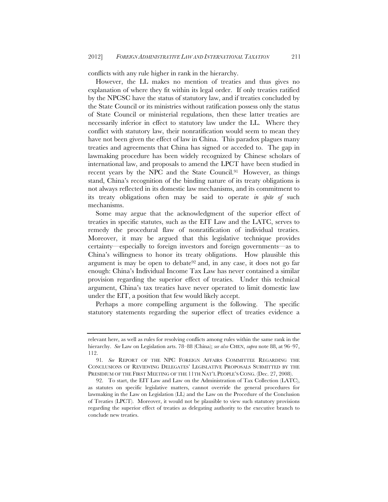conflicts with any rule higher in rank in the hierarchy.

However, the LL makes no mention of treaties and thus gives no explanation of where they fit within its legal order. If only treaties ratified by the NPCSC have the status of statutory law, and if treaties concluded by the State Council or its ministries without ratification possess only the status of State Council or ministerial regulations, then these latter treaties are necessarily inferior in effect to statutory law under the LL. Where they conflict with statutory law, their nonratification would seem to mean they have not been given the effect of law in China. This paradox plagues many treaties and agreements that China has signed or acceded to. The gap in lawmaking procedure has been widely recognized by Chinese scholars of international law, and proposals to amend the LPCT have been studied in recent years by the NPC and the State Council.91 However, as things stand, China's recognition of the binding nature of its treaty obligations is not always reflected in its domestic law mechanisms, and its commitment to its treaty obligations often may be said to operate *in spite of* such mechanisms.

Some may argue that the acknowledgment of the superior effect of treaties in specific statutes, such as the EIT Law and the LATC, serves to remedy the procedural flaw of nonratification of individual treaties. Moreover, it may be argued that this legislative technique provides certainty—especially to foreign investors and foreign governments—as to China's willingness to honor its treaty obligations. How plausible this argument is may be open to debate92 and, in any case, it does not go far enough: China's Individual Income Tax Law has never contained a similar provision regarding the superior effect of treaties. Under this technical argument, China's tax treaties have never operated to limit domestic law under the EIT, a position that few would likely accept.

Perhaps a more compelling argument is the following. The specific statutory statements regarding the superior effect of treaties evidence a

relevant here, as well as rules for resolving conflicts among rules within the same rank in the hierarchy. *See* Law on Legislation arts. 78–88 (China); *see also* CHEN, *supra* note 88, at 96–97, 112.

<sup>91</sup>*. See* REPORT OF THE NPC FOREIGN AFFAIRS COMMITTEE REGARDING THE CONCLUSIONS OF REVIEWING DELEGATES' LEGISLATIVE PROPOSALS SUBMITTED BY THE PRESIDIUM OF THE FIRST MEETING OF THE 11TH NAT'L PEOPLE'S CONG. (Dec. 27, 2008).

<sup>92.</sup> To start, the EIT Law and Law on the Administration of Tax Collection (LATC), as statutes on specific legislative matters, cannot override the general procedures for lawmaking in the Law on Legislation (LL) and the Law on the Procedure of the Conclusion of Treaties (LPCT). Moreover, it would not be plausible to view such statutory provisions regarding the superior effect of treaties as delegating authority to the executive branch to conclude new treaties.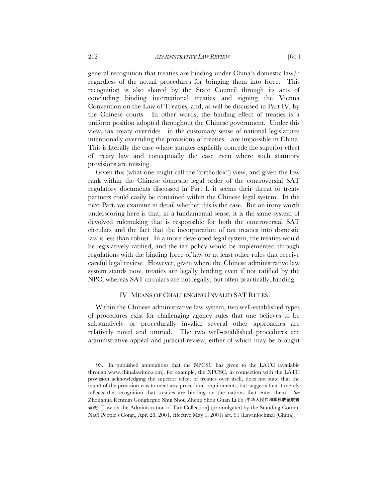general recognition that treaties are binding under China's domestic law,93 regardless of the actual procedures for bringing them into force. This recognition is also shared by the State Council through its acts of concluding binding international treaties and signing the Vienna Convention on the Law of Treaties, and, as will be discussed in Part IV, by the Chinese courts. In other words, the binding effect of treaties is a uniform position adopted throughout the Chinese government. Under this view, tax treaty overrides—in the customary sense of national legislatures intentionally overruling the provisions of treaties—are impossible in China. This is literally the case where statutes explicitly concede the superior effect of treaty law and conceptually the case even where such statutory provisions are missing.

Given this (what one might call the "orthodox") view, and given the low rank within the Chinese domestic legal order of the controversial SAT regulatory documents discussed in Part I, it seems their threat to treaty partners could easily be contained within the Chinese legal system. In the next Part, we examine in detail whether this is the case. But an irony worth underscoring here is that, in a fundamental sense, it is the same system of devolved rulemaking that is responsible for both the controversial SAT circulars and the fact that the incorporation of tax treaties into domestic law is less than robust. In a more developed legal system, the treaties would be legislatively ratified, and the tax policy would be implemented through regulations with the binding force of law or at least other rules that receive careful legal review. However, given where the Chinese administrative law system stands now, treaties are legally binding even if not ratified by the NPC, whereas SAT circulars are not legally, but often practically, binding.

### IV. MEANS OF CHALLENGING INVALID SAT RULES

Within the Chinese administrative law system, two well-established types of procedures exist for challenging agency rules that one believes to be substantively or procedurally invalid; several other approaches are relatively novel and untried. The two well-established procedures are administrative appeal and judicial review, either of which may be brought

<sup>93.</sup> In published annotations that the NPCSC has given to the LATC (available through www.chinalawinfo.com), for example, the NPCSC, in connection with the LATC provision acknowledging the superior effect of treaties over itself, does not state that the intent of the provision was to meet any procedural requirements, but suggests that it merely reflects the recognition that treaties are binding on the nations that enter them. *See*  Zhonghua Renmin Gongheguo Shui Shou Zheng Shou Guan Li Fa (中华人民共和国税收征收管 理法) [Law on the Administration of Tax Collection] (promulgated by the Standing Comm. Nat'l People's Cong., Apr. 28, 2001, effective May 1, 2001) art. 91 (Lawinfochina) (China).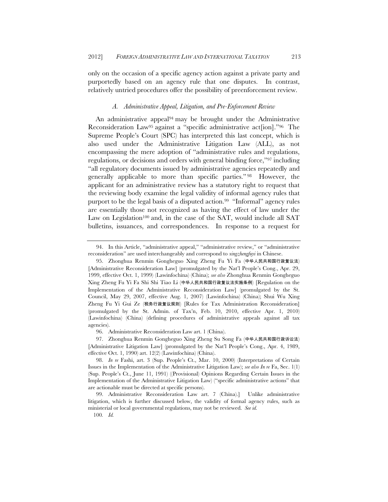only on the occasion of a specific agency action against a private party and purportedly based on an agency rule that one disputes. In contrast, relatively untried procedures offer the possibility of preenforcement review.

#### *A. Administrative Appeal, Litigation, and Pre-Enforcement Review*

An administrative appeal<sup>94</sup> may be brought under the Administrative Reconsideration Law95 against a "specific administrative act[ion]."96 The Supreme People's Court (SPC) has interpreted this last concept, which is also used under the Administrative Litigation Law (ALL), as not encompassing the mere adoption of "administrative rules and regulations, regulations, or decisions and orders with general binding force,"97 including "all regulatory documents issued by administrative agencies repeatedly and generally applicable to more than specific parties." 98 However, the applicant for an administrative review has a statutory right to request that the reviewing body examine the legal validity of informal agency rules that purport to be the legal basis of a disputed action.<sup>99</sup> "Informal" agency rules are essentially those not recognized as having the effect of law under the Law on Legislation<sup>100</sup> and, in the case of the SAT, would include all SAT bulletins, issuances, and correspondences. In response to a request for

96. Administrative Reconsideration Law art. 1 (China).

100*. Id.*

<sup>94.</sup> In this Article, "administrative appeal," "administrative review," or "administrative reconsideration" are used interchangeably and correspond to *xingzhengfuyi* in Chinese.

<sup>95.</sup> Zhonghua Renmin Gongheguo Xing Zheng Fu Yi Fa (中华人民共和国行政复议法) [Administrative Reconsideration Law] (promulgated by the Nat'l People's Cong., Apr. 29, 1999, effective Oct. 1, 1999) (Lawinfochina) (China); *see also* Zhonghua Renmin Gongheguo Xing Zheng Fu Yi Fa Shi Shi Tiao Li (中华人民共和国行政复议法实施条例) [Regulation on the Implementation of the Administrative Reconsideration Law] (promulgated by the St. Council, May 29, 2007, effective Aug. 1, 2007) (Lawinfochina) (China); Shui Wu Xing Zheng Fu Yi Gui Ze (税务行政复议规则) [Rules for Tax Administration Reconsideration] (promulgated by the St. Admin. of Tax'n, Feb. 10, 2010, effective Apr. 1, 2010) (Lawinfochina) (China) (defining procedures of administrative appeals against all tax agencies).

<sup>97.</sup> Zhonghua Renmin Gongheguo Xing Zheng Su Song Fa (中华人民共和国行政诉讼法) [Administrative Litigation Law] (promulgated by the Nat'l People's Cong., Apr. 4, 1989, effective Oct. 1, 1990) art. 12(2) (Lawinfochina) (China).

<sup>98.</sup> *In re* Fashi, art. 3 (Sup. People's Ct., Mar. 10, 2000) (Interpretations of Certain Issues in the Implementation of the Administrative Litigation Law); *see also In re* Fa, Sec. 1(1) (Sup. People's Ct., June 11, 1991) ((Provisional) Opinions Regarding Certain Issues in the Implementation of the Administrative Litigation Law) ("specific administrative actions" that are actionable must be directed at specific persons).

<sup>99.</sup> Administrative Reconsideration Law art. 7 (China).] Unlike administrative litigation, which is further discussed below, the validity of formal agency rules, such as ministerial or local governmental regulations, may not be reviewed. *See id.*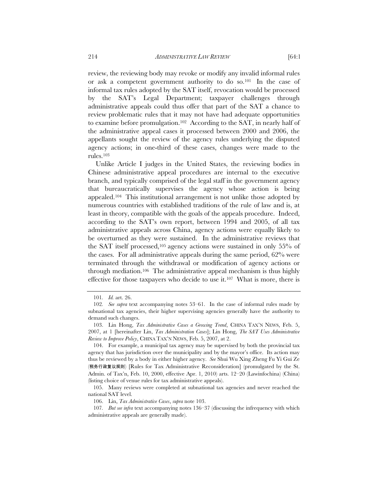review, the reviewing body may revoke or modify any invalid informal rules or ask a competent government authority to do so.101 In the case of informal tax rules adopted by the SAT itself, revocation would be processed by the SAT's Legal Department; taxpayer challenges through administrative appeals could thus offer that part of the SAT a chance to review problematic rules that it may not have had adequate opportunities to examine before promulgation.102 According to the SAT, in nearly half of the administrative appeal cases it processed between 2000 and 2006, the appellants sought the review of the agency rules underlying the disputed agency actions; in one-third of these cases, changes were made to the rules.103

Unlike Article I judges in the United States, the reviewing bodies in Chinese administrative appeal procedures are internal to the executive branch, and typically comprised of the legal staff in the government agency that bureaucratically supervises the agency whose action is being appealed.104 This institutional arrangement is not unlike those adopted by numerous countries with established traditions of the rule of law and is, at least in theory, compatible with the goals of the appeals procedure. Indeed, according to the SAT's own report, between 1994 and 2005, of all tax administrative appeals across China, agency actions were equally likely to be overturned as they were sustained. In the administrative reviews that the SAT itself processed,<sup>105</sup> agency actions were sustained in only  $55\%$  of the cases. For all administrative appeals during the same period, 62% were terminated through the withdrawal or modification of agency actions or through mediation.106 The administrative appeal mechanism is thus highly effective for those taxpayers who decide to use it.107 What is more, there is

<sup>101</sup>*. Id.* art. 26.

<sup>102</sup>*. See supra* text accompanying notes 53–61. In the case of informal rules made by subnational tax agencies, their higher supervising agencies generally have the authority to demand such changes.

 <sup>103.</sup> Lin Hong, *Tax Administrative Cases a Growing Trend*, CHINA TAX'N NEWS, Feb. 5, 2007, at 1 [hereinafter Lin, *Tax Administration Cases*]; Lin Hong, *The SAT Uses Administrative Review to Improve Policy*, CHINA TAX'N NEWS, Feb. 5, 2007, at 2.

 <sup>104.</sup> For example, a municipal tax agency may be supervised by both the provincial tax agency that has jurisdiction over the municipality and by the mayor's office. Its action may thus be reviewed by a body in either higher agency. *See* Shui Wu Xing Zheng Fu Yi Gui Ze (税务行政复议规则) [Rules for Tax Administrative Reconsideration] (promulgated by the St. Admin. of Tax'n, Feb. 10, 2000, effective Apr. 1, 2010) arts. 12–20 (Lawinfochina) (China) (listing choice of venue rules for tax administrative appeals).

 <sup>105.</sup> Many reviews were completed at subnational tax agencies and never reached the national SAT level.

 <sup>106.</sup> Lin, *Tax Administrative Cases*, *supra* note 103.

<sup>107</sup>*. But see infra* text accompanying notes 136–37 (discussing the infrequency with which administrative appeals are generally made).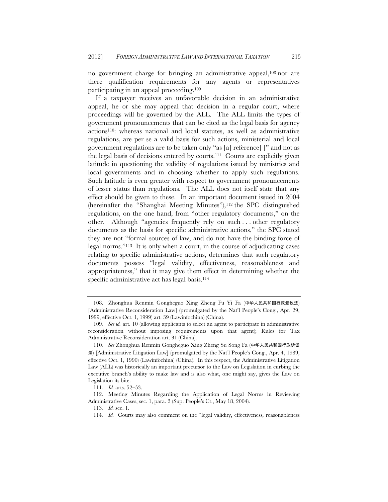no government charge for bringing an administrative appeal,108 nor are there qualification requirements for any agents or representatives participating in an appeal proceeding.109

If a taxpayer receives an unfavorable decision in an administrative appeal, he or she may appeal that decision in a regular court, where proceedings will be governed by the ALL. The ALL limits the types of government pronouncements that can be cited as the legal basis for agency actions110: whereas national and local statutes, as well as administrative regulations, are per se a valid basis for such actions, ministerial and local government regulations are to be taken only "as [a] reference[ ]" and not as the legal basis of decisions entered by courts.111 Courts are explicitly given latitude in questioning the validity of regulations issued by ministries and local governments and in choosing whether to apply such regulations. Such latitude is even greater with respect to government pronouncements of lesser status than regulations. The ALL does not itself state that any effect should be given to these. In an important document issued in 2004 (hereinafter the "Shanghai Meeting Minutes"),<sup>112</sup> the SPC distinguished regulations, on the one hand, from "other regulatory documents," on the other. Although "agencies frequently rely on such . . . other regulatory documents as the basis for specific administrative actions," the SPC stated they are not "formal sources of law, and do not have the binding force of legal norms."113 It is only when a court, in the course of adjudicating cases relating to specific administrative actions, determines that such regulatory documents possess "legal validity, effectiveness, reasonableness and appropriateness," that it may give them effect in determining whether the specific administrative act has legal basis.<sup>114</sup>

 <sup>108.</sup> Zhonghua Renmin Gongheguo Xing Zheng Fu Yi Fa (中华人民共和国行政复议法) [Administrative Reconsideration Law] (promulgated by the Nat'l People's Cong., Apr. 29, 1999, effective Oct. 1, 1999) art. 39 (Lawinfochina) (China).

<sup>109</sup>*. See id.* art. 10 (allowing applicants to select an agent to participate in administrative reconsideration without imposing requirements upon that agent); Rules for Tax Administrative Reconsideration art. 31 (China).

<sup>110</sup>*. See* Zhonghua Renmin Gongheguo Xing Zheng Su Song Fa (中华人民共和国行政诉讼 法) [Administrative Litigation Law] (promulgated by the Nat'l People's Cong., Apr. 4, 1989, effective Oct. 1, 1990) (Lawinfochina) (China). In this respect, the Administrative Litigation Law (ALL) was historically an important precursor to the Law on Legislation in curbing the executive branch's ability to make law and is also what, one might say, gives the Law on Legislation its bite.

<sup>111</sup>*. Id.* arts. 52–53.

 <sup>112.</sup> Meeting Minutes Regarding the Application of Legal Norms in Reviewing Administrative Cases, sec. 1, para. 3 (Sup. People's Ct., May 18, 2004).

<sup>113</sup>*. Id.* sec. 1.

<sup>114</sup>*. Id.* Courts may also comment on the "legal validity, effectiveness, reasonableness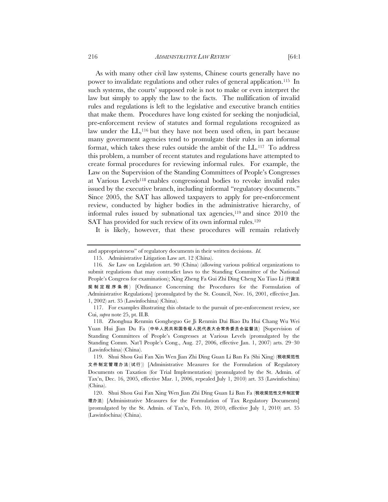As with many other civil law systems, Chinese courts generally have no power to invalidate regulations and other rules of general application.115 In such systems, the courts' supposed role is not to make or even interpret the law but simply to apply the law to the facts. The nullification of invalid rules and regulations is left to the legislative and executive branch entities that make them. Procedures have long existed for seeking the nonjudicial, pre-enforcement review of statutes and formal regulations recognized as law under the LL,<sup>116</sup> but they have not been used often, in part because many government agencies tend to promulgate their rules in an informal format, which takes these rules outside the ambit of the LL.117 To address this problem, a number of recent statutes and regulations have attempted to create formal procedures for reviewing informal rules. For example, the Law on the Supervision of the Standing Committees of People's Congresses at Various Levels118 enables congressional bodies to revoke invalid rules issued by the executive branch, including informal "regulatory documents." Since 2005, the SAT has allowed taxpayers to apply for pre-enforcement review, conducted by higher bodies in the administrative hierarchy, of informal rules issued by subnational tax agencies,119 and since 2010 the SAT has provided for such review of its own informal rules.<sup>120</sup>

It is likely, however, that these procedures will remain relatively

and appropriateness" of regulatory documents in their written decisions. *Id.*

 <sup>115.</sup> Administrative Litigation Law art. 12 (China).

<sup>116</sup>*. See* Law on Legislation art. 90 (China) (allowing various political organizations to submit regulations that may contradict laws to the Standing Committee of the National People's Congress for examination); Xing Zheng Fa Gui Zhi Ding Cheng Xu Tiao Li (行政法 规制定程序条例 ) [Ordinance Concerning the Procedures for the Formulation of Administrative Regulations] (promulgated by the St. Council, Nov. 16, 2001, effective Jan. 1, 2002) art. 35 (Lawinfochina) (China).

<sup>117.</sup> For examples illustrating this obstacle to the pursuit of pre-enforcement review, see Cui, *supra* note 25, pt. II.B.

 <sup>118.</sup> Zhonghua Renmin Gongheguo Ge Ji Renmin Dai Biao Da Hui Chang Wu Wei Yuan Hui Jian Du Fa (中华人民共和国各级人民代表大会常务委员会监督法) [Supervision of Standing Committees of People's Congresses at Various Levels (promulgated by the Standing Comm. Nat'l People's Cong., Aug. 27, 2006, effective Jan. 1, 2007) arts. 29–30 (Lawinfochina) (China).

 <sup>119.</sup> Shui Shou Gui Fan Xin Wen Jian Zhi Ding Guan Li Ban Fa (Shi Xing) (税收规范性 文件制定管理办法(试行)) [Administrative Measures for the Formulation of Regulatory Documents on Taxation (for Trial Implementation) (promulgated by the St. Admin. of Tax'n, Dec. 16, 2005, effective Mar. 1, 2006, repealed July 1, 2010) art. 33 (Lawinfochina) (China).

 <sup>120.</sup> Shui Shou Gui Fan Xing Wen Jian Zhi Ding Guan Li Ban Fa (税收规范性文件制定管 理办法) [Administrative Measures for the Formulation of Tax Regulatory Documents] (promulgated by the St. Admin. of Tax'n, Feb. 10, 2010, effective July 1, 2010) art. 35 (Lawinfochina) (China).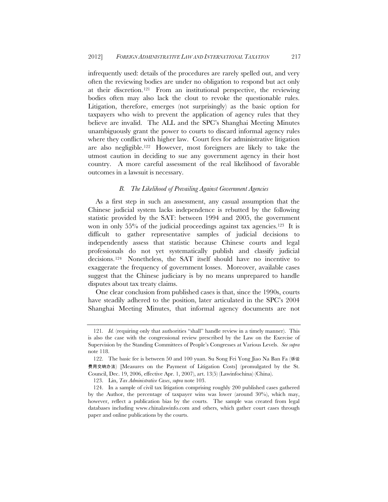infrequently used: details of the procedures are rarely spelled out, and very often the reviewing bodies are under no obligation to respond but act only at their discretion.121 From an institutional perspective, the reviewing bodies often may also lack the clout to revoke the questionable rules. Litigation, therefore, emerges (not surprisingly) as the basic option for taxpayers who wish to prevent the application of agency rules that they believe are invalid. The ALL and the SPC's Shanghai Meeting Minutes unambiguously grant the power to courts to discard informal agency rules where they conflict with higher law. Court fees for administrative litigation are also negligible.122 However, most foreigners are likely to take the utmost caution in deciding to sue any government agency in their host country. A more careful assessment of the real likelihood of favorable outcomes in a lawsuit is necessary.

#### *B. The Likelihood of Prevailing Against Government Agencies*

As a first step in such an assessment, any casual assumption that the Chinese judicial system lacks independence is rebutted by the following statistic provided by the SAT: between 1994 and 2005, the government won in only 55% of the judicial proceedings against tax agencies.123 It is difficult to gather representative samples of judicial decisions to independently assess that statistic because Chinese courts and legal professionals do not yet systematically publish and classify judicial decisions.124 Nonetheless, the SAT itself should have no incentive to exaggerate the frequency of government losses. Moreover, available cases suggest that the Chinese judiciary is by no means unprepared to handle disputes about tax treaty claims.

One clear conclusion from published cases is that, since the 1990s, courts have steadily adhered to the position, later articulated in the SPC's 2004 Shanghai Meeting Minutes, that informal agency documents are not

<sup>121.</sup> *Id.* (requiring only that authorities "shall" handle review in a timely manner). This is also the case with the congressional review prescribed by the Law on the Exercise of Supervision by the Standing Committees of People's Congresses at Various Levels. *See supra* note 118.

 <sup>122.</sup> The basic fee is between 50 and 100 yuan. Su Song Fei Yong Jiao Na Ban Fa (诉讼 费用交纳办法) [Measures on the Payment of Litigation Costs] (promulgated by the St. Council, Dec. 19, 2006, effective Apr. 1, 2007), art. 13(5) (Lawinfochina) (China).

 <sup>123.</sup> Lin, *Tax Administrative Cases*, *supra* note 103.

 <sup>124.</sup> In a sample of civil tax litigation comprising roughly 200 published cases gathered by the Author, the percentage of taxpayer wins was lower (around 30%), which may, however, reflect a publication bias by the courts. The sample was created from legal databases including www.chinalawinfo.com and others, which gather court cases through paper and online publications by the courts.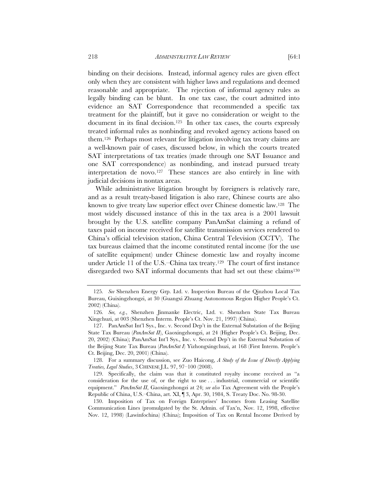binding on their decisions. Instead, informal agency rules are given effect only when they are consistent with higher laws and regulations and deemed reasonable and appropriate. The rejection of informal agency rules as legally binding can be blunt. In one tax case, the court admitted into evidence an SAT Correspondence that recommended a specific tax treatment for the plaintiff, but it gave no consideration or weight to the document in its final decision.125 In other tax cases, the courts expressly treated informal rules as nonbinding and revoked agency actions based on them.126 Perhaps most relevant for litigation involving tax treaty claims are a well-known pair of cases, discussed below, in which the courts treated SAT interpretations of tax treaties (made through one SAT Issuance and one SAT correspondence) as nonbinding, and instead pursued treaty interpretation de novo.<sup>127</sup> These stances are also entirely in line with judicial decisions in nontax areas.

While administrative litigation brought by foreigners is relatively rare, and as a result treaty-based litigation is also rare, Chinese courts are also known to give treaty law superior effect over Chinese domestic law.128 The most widely discussed instance of this in the tax area is a 2001 lawsuit brought by the U.S. satellite company PanAmSat claiming a refund of taxes paid on income received for satellite transmission services rendered to China's official television station, China Central Television (CCTV). The tax bureaus claimed that the income constituted rental income (for the use of satellite equipment) under Chinese domestic law and royalty income under Article 11 of the U.S.–China tax treaty.129 The court of first instance disregarded two SAT informal documents that had set out these claims<sup>130</sup>

 128. For a summary discussion, see Zuo Haicong, *A Study of the Issue of Directly Applying Treaties, Legal Studies*, 3 CHINESE J.L. 97, 97–100 (2008).

 130. Imposition of Tax on Foreign Enterprises' Incomes from Leasing Satellite Communication Lines (promulgated by the St. Admin. of Tax'n, Nov. 12, 1998, effective Nov. 12, 1998) (Lawinfochina) (China); Imposition of Tax on Rental Income Derived by

<sup>125</sup>*. See* Shenzhen Energy Grp. Ltd. v. Inspection Bureau of the Qinzhou Local Tax Bureau, Guixingzhongzi, at 30 (Guangxi Zhuang Autonomous Region Higher People's Ct. 2002) (China).

<sup>126</sup>*. See, e.g.*, Shenzhen Jinmanke Electric, Ltd. v. Shenzhen State Tax Bureau Xingchuzi, at 003 (Shenzhen Interm. People's Ct. Nov. 21, 1997) (China).

 <sup>127.</sup> PanAmSat Int'l Sys., Inc. v. Second Dep't in the External Substation of the Beijing State Tax Bureau (*PanAmSat II*), Gaoxingzhongzi, at 24 (Higher People's Ct. Beijing, Dec. 20, 2002) (China); PanAmSat Int'l Sys., Inc. v. Second Dep't in the External Substation of the Beijing State Tax Bureau (*PanAmSat I*) Yizhongxingchuzi, at 168 (First Interm. People's Ct. Beijing, Dec. 20, 2001) (China).

 <sup>129.</sup> Specifically, the claim was that it constituted royalty income received as "a consideration for the use of, or the right to use . . . industrial, commercial or scientific equipment." *PanAmSat II*, Gaoxingzhongzi at 24; *see also* Tax Agreement with the People's Republic of China, U.S.–China, art. XI, ¶ 3, Apr. 30, 1984, S. Treaty Doc. No. 98-30.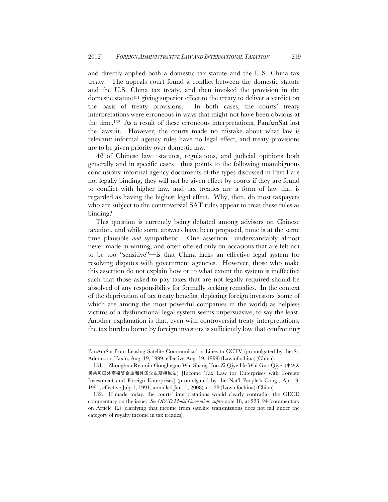and directly applied both a domestic tax statute and the U.S.–China tax treaty. The appeals court found a conflict between the domestic statute and the U.S.–China tax treaty, and then invoked the provision in the domestic statute131 giving superior effect to the treaty to deliver a verdict on the basis of treaty provisions. In both cases, the courts' treaty interpretations were erroneous in ways that might not have been obvious at the time.132 As a result of these erroneous interpretations, PanAmSat lost the lawsuit. However, the courts made no mistake about what law is relevant: informal agency rules have no legal effect, and treaty provisions are to be given priority over domestic law.

*All* of Chinese law—statutes, regulations, and judicial opinions both generally and in specific cases—thus points to the following unambiguous conclusions: informal agency documents of the types discussed in Part I are not legally binding, they will not be given effect by courts if they are found to conflict with higher law, and tax treaties are a form of law that is regarded as having the highest legal effect. Why, then, do most taxpayers who are subject to the controversial SAT rules appear to treat these rules as binding?

This question is currently being debated among advisors on Chinese taxation, and while some answers have been proposed, none is at the same time plausible *and* sympathetic. One assertion—understandably almost never made in writing, and often offered only on occasions that are felt not to be too "sensitive"—is that China lacks an effective legal system for resolving disputes with government agencies. However, those who make this assertion do not explain how or to what extent the system is ineffective such that those asked to pay taxes that are not legally required should be absolved of any responsibility for formally seeking remedies. In the context of the deprivation of tax treaty benefits, depicting foreign investors (some of which are among the most powerful companies in the world) as helpless victims of a dysfunctional legal system seems unpersuasive, to say the least. Another explanation is that, even with controversial treaty interpretations, the tax burden borne by foreign investors is sufficiently low that confronting

PanAmSat from Leasing Satelite Communication Lines to CCTV (promulgated by the St. Admin. on Tax'n, Aug. 19, 1999, effective Aug. 19, 1999) (Lawinfochina) (China).

 <sup>131.</sup> Zhonghua Renmin Gongheguo Wai Shang Tou Zi Qiye He Wai Guo Qiye (中华人 民共和国外商投资企业和外国企业所得税法) [Income Tax Law for Enterprises with Foreign Investment and Foreign Enterprises] (promulgated by the Nat'l People's Cong., Apr. 9, 1991, effective July 1, 1991, annulled Jan. 1, 2008) art. 28 (Lawinfochina) (China).

 <sup>132.</sup> If made today, the courts' interpretations would clearly contradict the OECD commentary on the issue. *See OECD Model Convention*, *supra* note 18, at 223–24 (commentary on Article 12) (clarifying that income from satellite transmissions does not fall under the category of royalty income in tax treaties).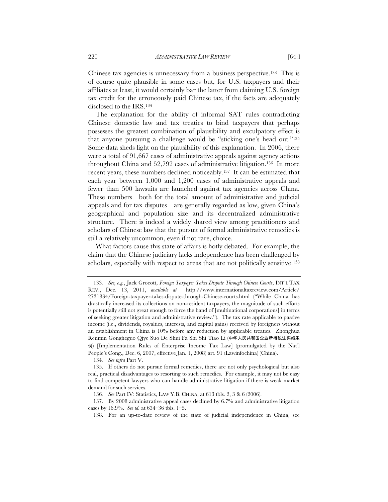Chinese tax agencies is unnecessary from a business perspective.133 This is of course quite plausible in some cases but, for U.S. taxpayers and their affiliates at least, it would certainly bar the latter from claiming U.S. foreign tax credit for the erroneously paid Chinese tax, if the facts are adequately disclosed to the IRS.134

The explanation for the ability of informal SAT rules contradicting Chinese domestic law and tax treaties to bind taxpayers that perhaps possesses the greatest combination of plausibility and exculpatory effect is that anyone pursuing a challenge would be "sticking one's head out."135 Some data sheds light on the plausibility of this explanation. In 2006, there were a total of 91,667 cases of administrative appeals against agency actions throughout China and 52,792 cases of administrative litigation.136 In more recent years, these numbers declined noticeably.137 It can be estimated that each year between 1,000 and 1,200 cases of administrative appeals and fewer than 500 lawsuits are launched against tax agencies across China. These numbers—both for the total amount of administrative and judicial appeals and for tax disputes—are generally regarded as low, given China's geographical and population size and its decentralized administrative structure. There is indeed a widely shared view among practitioners and scholars of Chinese law that the pursuit of formal administrative remedies is still a relatively uncommon, even if not rare, choice.

What factors cause this state of affairs is hotly debated. For example, the claim that the Chinese judiciary lacks independence has been challenged by scholars, especially with respect to areas that are not politically sensitive.<sup>138</sup>

134*. See infra* Part V.

<sup>133</sup>*. See, e.g.*, Jack Grocott, *Foreign Taxpayer Takes Dispute Through Chinese Courts*, INT'L TAX REV., Dec. 13, 2011, *available at* http://www.internationaltaxreview.com/Article/ 2731834/Foreign-taxpayer-takes-dispute-through-Chinese-courts.html ("While China has drastically increased its collections on non-resident taxpayers, the magnitude of such efforts is potentially still not great enough to force the hand of [multinational corporations] in terms of seeking greater litigation and administrative review."). The tax rate applicable to passive income (i.e., dividends, royalties, interests, and capital gains) received by foreigners without an establishment in China is 10% before any reduction by applicable treaties. Zhonghua Renmin Gongheguo Qiye Suo De Shui Fa Shi Shi Tiao Li (中华人民共和国企业所得税法实施条 例) [Implementation Rules of Enterprise Income Tax Law] (promulgated by the Nat'l People's Cong., Dec. 6, 2007, effective Jan. 1, 2008) art. 91 (Lawinfochina) (China).

 <sup>135.</sup> If others do not pursue formal remedies, there are not only psychological but also real, practical disadvantages to resorting to such remedies. For example, it may not be easy to find competent lawyers who can handle administrative litigation if there is weak market demand for such services.

<sup>136</sup>*. See* Part IV: Statistics, LAW Y.B. CHINA, at 613 tbls. 2, 3 & 6 (2006).

<sup>137.</sup> By 2008 administrative appeal cases declined by 6.7% and administrative litigation cases by 16.9%. *See id.* at 634–36 tbls. 1–5.

<sup>138.</sup> For an up-to-date review of the state of judicial independence in China, see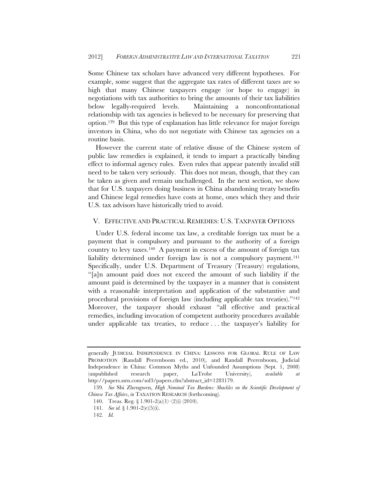Some Chinese tax scholars have advanced very different hypotheses. For example, some suggest that the aggregate tax rates of different taxes are so high that many Chinese taxpayers engage (or hope to engage) in negotiations with tax authorities to bring the amounts of their tax liabilities below legally-required levels. Maintaining a nonconfrontational relationship with tax agencies is believed to be necessary for preserving that option.139 But this type of explanation has little relevance for major foreign investors in China, who do not negotiate with Chinese tax agencies on a routine basis.

However the current state of relative disuse of the Chinese system of public law remedies is explained, it tends to impart a practically binding effect to informal agency rules. Even rules that appear patently invalid still need to be taken very seriously. This does not mean, though, that they can be taken as given and remain unchallenged. In the next section, we show that for U.S. taxpayers doing business in China abandoning treaty benefits and Chinese legal remedies have costs at home, ones which they and their U.S. tax advisors have historically tried to avoid.

## V. EFFECTIVE AND PRACTICAL REMEDIES: U.S. TAXPAYER OPTIONS

Under U.S. federal income tax law, a creditable foreign tax must be a payment that is compulsory and pursuant to the authority of a foreign country to levy taxes.140 A payment in excess of the amount of foreign tax liability determined under foreign law is not a compulsory payment.<sup>141</sup> Specifically, under U.S. Department of Treasury (Treasury) regulations, "[a]n amount paid does not exceed the amount of such liability if the amount paid is determined by the taxpayer in a manner that is consistent with a reasonable interpretation and application of the substantive and procedural provisions of foreign law (including applicable tax treaties)."142 Moreover, the taxpayer should exhaust "all effective and practical remedies, including invocation of competent authority procedures available under applicable tax treaties, to reduce . . . the taxpayer's liability for

generally JUDICIAL INDEPENDENCE IN CHINA: LESSONS FOR GLOBAL RULE OF LAW PROMOTION (Randall Peerenboom ed., 2010), and Randall Peerenboom, Judicial Independence in China: Common Myths and Unfounded Assumptions (Sept. 1, 2008) (unpublished research paper, LaTrobe University), *available at*  http://papers.ssrn.com/sol3/papers.cfm?abstract\_id=1283179.

<sup>139</sup>*. See* Shi Zhengwen, *High Nominal Tax Burdens: Shackles on the Scientific Development of Chinese Tax Affairs*, *in* TAXATION RESEARCH (forthcoming).

<sup>140.</sup> Treas. Reg. § 1.901-2(a)(1)–(2)(i) (2010).

<sup>141</sup>*. See id.* § 1.901-2(e)(5)(i).

<sup>142</sup>*. Id.*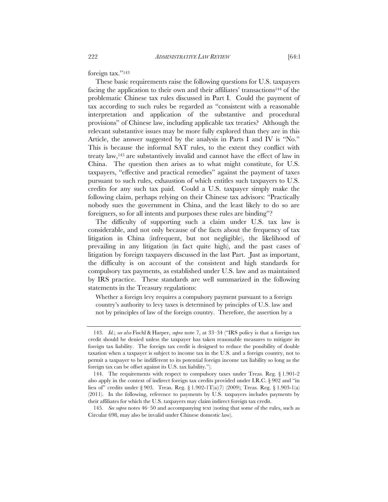foreign tax."143

These basic requirements raise the following questions for U.S. taxpayers facing the application to their own and their affiliates' transactions144 of the problematic Chinese tax rules discussed in Part I. Could the payment of tax according to such rules be regarded as "consistent with a reasonable interpretation and application of the substantive and procedural provisions" of Chinese law, including applicable tax treaties? Although the relevant substantive issues may be more fully explored than they are in this Article, the answer suggested by the analysis in Parts I and IV is "No." This is because the informal SAT rules, to the extent they conflict with treaty law,145 are substantively invalid and cannot have the effect of law in China. The question then arises as to what might constitute, for U.S. taxpayers, "effective and practical remedies" against the payment of taxes pursuant to such rules, exhaustion of which entitles such taxpayers to U.S. credits for any such tax paid. Could a U.S. taxpayer simply make the following claim, perhaps relying on their Chinese tax advisors: "Practically nobody sues the government in China, and the least likely to do so are foreigners, so for all intents and purposes these rules are binding"?

The difficulty of supporting such a claim under U.S. tax law is considerable, and not only because of the facts about the frequency of tax litigation in China (infrequent, but not negligible), the likelihood of prevailing in any litigation (in fact quite high), and the past cases of litigation by foreign taxpayers discussed in the last Part. Just as important, the difficulty is on account of the consistent and high standards for compulsory tax payments, as established under U.S. law and as maintained by IRS practice. These standards are well summarized in the following statements in the Treasury regulations:

Whether a foreign levy requires a compulsory payment pursuant to a foreign country's authority to levy taxes is determined by principles of U.S. law and not by principles of law of the foreign country. Therefore, the assertion by a

<sup>143</sup>*. Id.*; *see also* Fischl & Harper, *supra* note 7, at 33–34 ("IRS policy is that a foreign tax credit should be denied unless the taxpayer has taken reasonable measures to mitigate its foreign tax liability. The foreign tax credit is designed to reduce the possibility of double taxation when a taxpayer is subject to income tax in the U.S. and a foreign country, not to permit a taxpayer to be indifferent to its potential foreign income tax liability so long as the foreign tax can be offset against its U.S. tax liability.").

 <sup>144.</sup> The requirements with respect to compulsory taxes under Treas. Reg. § 1.901-2 also apply in the context of indirect foreign tax credits provided under I.R.C. § 902 and "in lieu of" credits under § 903. Treas. Reg. § 1.902-1T(a)(7) (2009); Treas. Reg. § 1.903-1(a) (2011). In the following, reference to payments by U.S. taxpayers includes payments by their affiliates for which the U.S. taxpayers may claim indirect foreign tax credit.

<sup>145</sup>*. See supra* notes 46–50 and accompanying text (noting that some of the rules, such as Circular 698, may also be invalid under Chinese domestic law).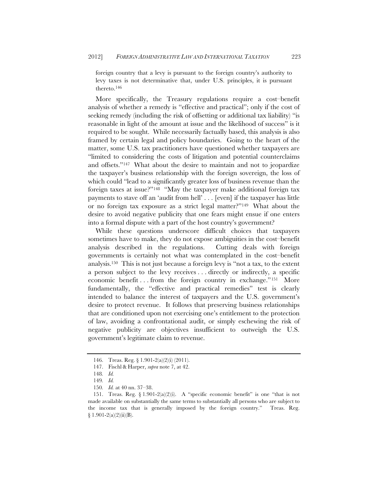foreign country that a levy is pursuant to the foreign country's authority to levy taxes is not determinative that, under U.S. principles, it is pursuant thereto.146

More specifically, the Treasury regulations require a cost–benefit analysis of whether a remedy is "effective and practical"; only if the cost of seeking remedy (including the risk of offsetting or additional tax liability) "is reasonable in light of the amount at issue and the likelihood of success" is it required to be sought. While necessarily factually based, this analysis is also framed by certain legal and policy boundaries. Going to the heart of the matter, some U.S. tax practitioners have questioned whether taxpayers are "limited to considering the costs of litigation and potential counterclaims and offsets."147 What about the desire to maintain and not to jeopardize the taxpayer's business relationship with the foreign sovereign, the loss of which could "lead to a significantly greater loss of business revenue than the foreign taxes at issue?"148 "May the taxpayer make additional foreign tax payments to stave off an 'audit from hell' . . . [even] if the taxpayer has little or no foreign tax exposure as a strict legal matter?"149 What about the desire to avoid negative publicity that one fears might ensue if one enters into a formal dispute with a part of the host country's government?

While these questions underscore difficult choices that taxpayers sometimes have to make, they do not expose ambiguities in the cost–benefit analysis described in the regulations. Cutting deals with foreign governments is certainly not what was contemplated in the cost–benefit analysis.150 This is not just because a foreign levy is "not a tax, to the extent a person subject to the levy receives . . . directly or indirectly, a specific economic benefit . . . from the foreign country in exchange."151 More fundamentally, the "effective and practical remedies" test is clearly intended to balance the interest of taxpayers and the U.S. government's desire to protect revenue. It follows that preserving business relationships that are conditioned upon not exercising one's entitlement to the protection of law, avoiding a confrontational audit, or simply eschewing the risk of negative publicity are objectives insufficient to outweigh the U.S. government's legitimate claim to revenue.

<sup>146.</sup> Treas. Reg. § 1.901-2(a)(2)(i) (2011).

 <sup>147.</sup> Fischl & Harper, *supra* note 7, at 42.

<sup>148</sup>*. Id.*

<sup>149</sup>*. Id.*

<sup>150</sup>*. Id.* at 40 nn. 37–38.

<sup>151.</sup> Treas. Reg. § 1.901-2(a)(2)(i). A "specific economic benefit" is one "that is not made available on substantially the same terms to substantially all persons who are subject to the income tax that is generally imposed by the foreign country." Treas. Reg.  $§ 1.901-2(a)(2)(ii)(B).$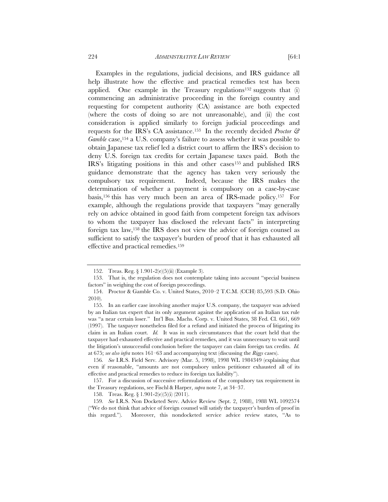Examples in the regulations, judicial decisions, and IRS guidance all help illustrate how the effective and practical remedies test has been applied. One example in the Treasury regulations<sup>152</sup> suggests that (i) commencing an administrative proceeding in the foreign country and requesting for competent authority (CA) assistance are both expected (where the costs of doing so are not unreasonable), and (ii) the cost consideration is applied similarly to foreign judicial proceedings and requests for the IRS's CA assistance.153 In the recently decided *Proctor & Gamble* case,<sup>154</sup> a U.S. company's failure to assess whether it was possible to obtain Japanese tax relief led a district court to affirm the IRS's decision to deny U.S. foreign tax credits for certain Japanese taxes paid. Both the IRS's litigating positions in this and other cases155 and published IRS guidance demonstrate that the agency has taken very seriously the compulsory tax requirement. Indeed, because the IRS makes the determination of whether a payment is compulsory on a case-by-case basis,156 this has very much been an area of IRS-made policy.157 For example, although the regulations provide that taxpayers "may generally rely on advice obtained in good faith from competent foreign tax advisors to whom the taxpayer has disclosed the relevant facts" in interpreting foreign tax law,158 the IRS does not view the advice of foreign counsel as sufficient to satisfy the taxpayer's burden of proof that it has exhausted all

effective and practical remedies.159

 157. For a discussion of successive reformulations of the compulsory tax requirement in the Treasury regulations, see Fischl & Harper, *supra* note 7, at 34–37.

<sup>152.</sup> Treas. Reg. § 1.901-2(e)(5)(ii) (Example 3).

<sup>153.</sup> That is, the regulation does not contemplate taking into account "special business factors" in weighing the cost of foreign proceedings.

<sup>154.</sup> Proctor & Gamble Co. v. United States, 2010–2 T.C.M. (CCH) 85,593 (S.D. Ohio 2010).

 <sup>155.</sup> In an earlier case involving another major U.S. company, the taxpayer was advised by an Italian tax expert that its only argument against the application of an Italian tax rule was "a near certain loser." Int'l Bus. Machs. Corp. v. United States, 38 Fed. Cl. 661, 669 (1997). The taxpayer nonetheless filed for a refund and initiated the process of litigating its claim in an Italian court. *Id.* It was in such circumstances that the court held that the taxpayer had exhausted effective and practical remedies, and it was unnecessary to wait until the litigation's unsuccessful conclusion before the taxpayer can claim foreign tax credits. *Id.* at 675; *see also infra* notes 161–63 and accompanying text (discussing the *Riggs* cases).

<sup>156</sup>*. See* I.R.S. Field Serv. Advisory (Mar. 5, 1998), 1998 WL 1984349 (explaining that even if reasonable, "amounts are not compulsory unless petitioner exhausted all of its effective and practical remedies to reduce its foreign tax liability").

<sup>158.</sup> Treas. Reg. § 1.901-2(e)(5)(i) (2011).

<sup>159</sup>*. See* I.R.S. Non Docketed Serv. Advice Review (Sept. 2, 1988), 1988 WL 1092574 ("We do not think that advice of foreign counsel will satisfy the taxpayer's burden of proof in this regard."). Moreover, this nondocketed service advice review states, "As to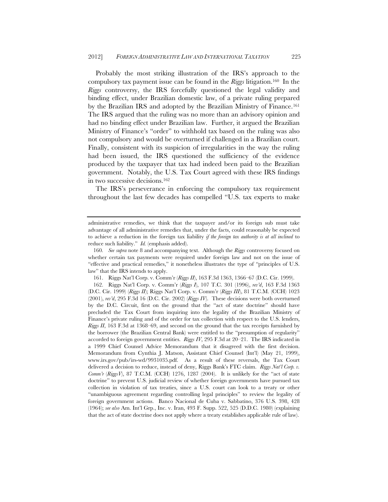Probably the most striking illustration of the IRS's approach to the compulsory tax payment issue can be found in the *Riggs* litigation.160 In the *Riggs* controversy, the IRS forcefully questioned the legal validity and binding effect, under Brazilian domestic law, of a private ruling prepared by the Brazilian IRS and adopted by the Brazilian Ministry of Finance.161 The IRS argued that the ruling was no more than an advisory opinion and had no binding effect under Brazilian law. Further, it argued the Brazilian Ministry of Finance's "order" to withhold tax based on the ruling was also not compulsory and would be overturned if challenged in a Brazilian court. Finally, consistent with its suspicion of irregularities in the way the ruling had been issued, the IRS questioned the sufficiency of the evidence produced by the taxpayer that tax had indeed been paid to the Brazilian government. Notably, the U.S. Tax Court agreed with these IRS findings in two successive decisions.162

The IRS's perseverance in enforcing the compulsory tax requirement throughout the last few decades has compelled "U.S. tax experts to make

161. Riggs Nat'l Corp. v. Comm'r (*Riggs II*), 163 F.3d 1363, 1366–67 (D.C. Cir. 1999).

 162. Riggs Nat'l Corp. v. Comm'r (*Riggs I*), 107 T.C. 301 (1996), *rev'd*, 163 F.3d 1363 (D.C. Cir. 1999) (*Riggs II*); Riggs Nat'l Corp. v. Comm'r (*Riggs III*), 81 T.C.M. (CCH) 1023 (2001), *rev'd*, 295 F.3d 16 (D.C. Cir. 2002) (*Riggs IV*). These decisions were both overturned by the D.C. Circuit, first on the ground that the "act of state doctrine" should have precluded the Tax Court from inquiring into the legality of the Brazilian Ministry of Finance's private ruling and of the order for tax collection with respect to the U.S. lenders, *Riggs II*, 163 F.3d at 1368–69, and second on the ground that the tax receipts furnished by the borrower (the Brazilian Central Bank) were entitled to the "presumption of regularity" accorded to foreign government entities. *Riggs IV*, 295 F.3d at 20–21. The IRS indicated in a 1999 Chief Counsel Advice Memorandum that it disagreed with the first decision. Memorandum from Cynthia J. Matson, Assistant Chief Counsel (Int'l) (May 21, 1999), www.irs.gov/pub/irs-wd/9931035.pdf. As a result of these reversals, the Tax Court delivered a decision to reduce, instead of deny, Riggs Bank's FTC claim. *Riggs Nat'l Corp. v. Comm'r* (*RiggsV*), 87 T.C.M. (CCH) 1276, 1287 (2004). It is unlikely for the "act of state doctrine" to prevent U.S. judicial review of whether foreign governments have pursued tax collection in violation of tax treaties, since a U.S. court can look to a treaty or other "unambiguous agreement regarding controlling legal principles" to review the legality of foreign government actions. Banco Nacional de Cuba v. Sabbatino, 376 U.S. 398, 428 (1964); *see also* Am. Int'l Grp., Inc. v. Iran, 493 F. Supp. 522, 525 (D.D.C. 1980) (explaining that the act of state doctrine does not apply where a treaty establishes applicable rule of law).

administrative remedies, we think that the taxpayer and/or its foreign sub must take advantage of all administrative remedies that, under the facts, could reasonably be expected to achieve a reduction in the foreign tax liability *if the foreign tax authority is at all inclined* to reduce such liability." *Id.* (emphasis added).

<sup>160</sup>*. See supra* note 8 and accompanying text. Although the *Riggs* controversy focused on whether certain tax payments were required under foreign law and not on the issue of "effective and practical remedies," it nonetheless illustrates the type of "principles of U.S. law" that the IRS intends to apply.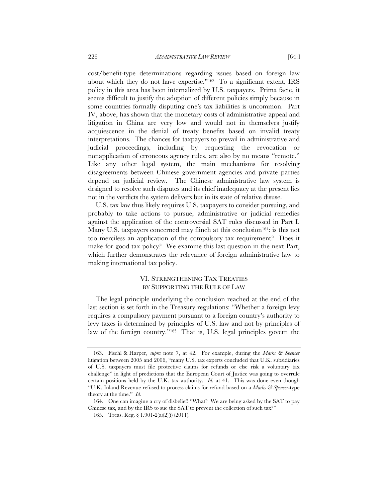cost/benefit-type determinations regarding issues based on foreign law about which they do not have expertise."163 To a significant extent, IRS policy in this area has been internalized by U.S. taxpayers. Prima facie, it seems difficult to justify the adoption of different policies simply because in some countries formally disputing one's tax liabilities is uncommon. Part IV, above, has shown that the monetary costs of administrative appeal and litigation in China are very low and would not in themselves justify acquiescence in the denial of treaty benefits based on invalid treaty interpretations. The chances for taxpayers to prevail in administrative and judicial proceedings, including by requesting the revocation or nonapplication of erroneous agency rules, are also by no means "remote." Like any other legal system, the main mechanisms for resolving disagreements between Chinese government agencies and private parties depend on judicial review. The Chinese administrative law system is designed to resolve such disputes and its chief inadequacy at the present lies not in the verdicts the system delivers but in its state of relative disuse.

U.S. tax law thus likely requires U.S. taxpayers to consider pursuing, and probably to take actions to pursue, administrative or judicial remedies against the application of the controversial SAT rules discussed in Part I. Many U.S. taxpayers concerned may flinch at this conclusion<sup>164</sup>: is this not too merciless an application of the compulsory tax requirement? Does it make for good tax policy? We examine this last question in the next Part, which further demonstrates the relevance of foreign administrative law to making international tax policy.

## VI. STRENGTHENING TAX TREATIES BY SUPPORTING THE RULE OF LAW

The legal principle underlying the conclusion reached at the end of the last section is set forth in the Treasury regulations: "Whether a foreign levy requires a compulsory payment pursuant to a foreign country's authority to levy taxes is determined by principles of U.S. law and not by principles of law of the foreign country."165 That is, U.S. legal principles govern the

 <sup>163.</sup> Fischl & Harper, *supra* note 7, at 42. For example, during the *Marks & Spencer* litigation between 2005 and 2006, "many U.S. tax experts concluded that U.K. subsidiaries of U.S. taxpayers must file protective claims for refunds or else risk a voluntary tax challenge" in light of predictions that the European Court of Justice was going to overrule certain positions held by the U.K. tax authority. *Id.* at 41. This was done even though "U.K. Inland Revenue refused to process claims for refund based on a *Marks & Spencer*-type theory at the time." *Id.*

 <sup>164.</sup> One can imagine a cry of disbelief: "What? We are being asked by the SAT to pay Chinese tax, and by the IRS to sue the SAT to prevent the collection of such tax?"

<sup>165.</sup> Treas. Reg. § 1.901-2(a)(2)(i) (2011).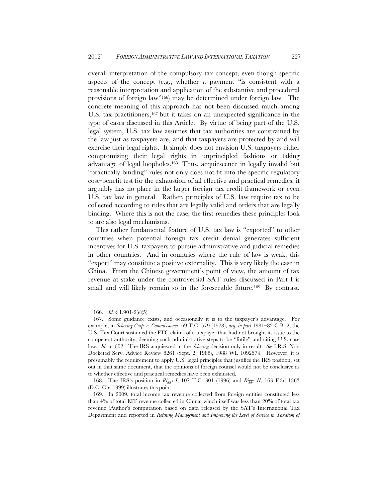overall interpretation of the compulsory tax concept, even though specific aspects of the concept (e.g., whether a payment "is consistent with a reasonable interpretation and application of the substantive and procedural provisions of foreign law"166) may be determined under foreign law. The concrete meaning of this approach has not been discussed much among U.S. tax practitioners,<sup>167</sup> but it takes on an unexpected significance in the type of cases discussed in this Article. By virtue of being part of the U.S. legal system, U.S. tax law assumes that tax authorities are constrained by the law just as taxpayers are, and that taxpayers are protected by and will exercise their legal rights. It simply does not envision U.S. taxpayers either compromising their legal rights in unprincipled fashions or taking advantage of legal loopholes.168 Thus, acquiescence in legally invalid but "practically binding" rules not only does not fit into the specific regulatory cost–benefit test for the exhaustion of all effective and practical remedies, it arguably has no place in the larger foreign tax credit framework or even U.S. tax law in general. Rather, principles of U.S. law require tax to be collected according to rules that are legally valid and orders that are legally binding. Where this is not the case, the first remedies these principles look to are also legal mechanisms.

This rather fundamental feature of U.S. tax law is "exported" to other countries when potential foreign tax credit denial generates sufficient incentives for U.S. taxpayers to pursue administrative and judicial remedies in other countries. And in countries where the rule of law is weak, this "export" may constitute a positive externality. This is very likely the case in China. From the Chinese government's point of view, the amount of tax revenue at stake under the controversial SAT rules discussed in Part I is small and will likely remain so in the foreseeable future.<sup>169</sup> By contrast,

 <sup>166.</sup> *Id.* § 1.901-2(e)(5).

 <sup>167.</sup> Some guidance exists, and occasionally it is to the taxpayer's advantage. For example, in *Schering Corp. v. Commissioner*, 69 T.C. 579 (1978), *acq. in part* 1981–82 C.B. 2, the U.S. Tax Court sustained the FTC claims of a taxpayer that had not brought its issue to the competent authority, deeming such administrative steps to be "futile" and citing U.S. case law. *Id.* at 602. The IRS acquiesced in the *Schering* decision only in result. *See* I.R.S. Non Docketed Serv. Advice Review 8261 (Sept. 2, 1988), 1988 WL 1092574. However, it is presumably the requirement to apply U.S. legal principles that justifies the IRS position, set out in that same document, that the opinions of foreign counsel would not be conclusive as to whether effective and practical remedies have been exhausted.

<sup>168.</sup> The IRS's position in *Riggs I*, 107 T.C. 301 (1996) and *Riggs II*, 163 F.3d 1363 (D.C. Cir. 1999) illustrates this point.

 <sup>169.</sup> In 2009, total income tax revenue collected from foreign entities constituted less than 4% of total EIT revenue collected in China, which itself was less than 20% of total tax revenue (Author's computation based on data released by the SAT's International Tax Department and reported in *Refining Management and Improving the Level of Service in Taxation of*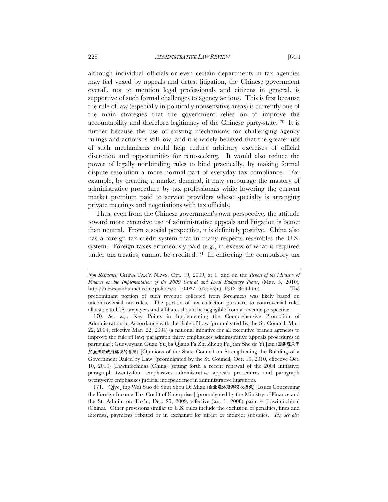although individual officials or even certain departments in tax agencies may feel vexed by appeals and detest litigation, the Chinese government overall, not to mention legal professionals and citizens in general, is supportive of such formal challenges to agency actions. This is first because the rule of law (especially in politically nonsensitive areas) is currently one of the main strategies that the government relies on to improve the accountability and therefore legitimacy of the Chinese party-state.170 It is further because the use of existing mechanisms for challenging agency rulings and actions is still low, and it is widely believed that the greater use of such mechanisms could help reduce arbitrary exercises of official discretion and opportunities for rent-seeking. It would also reduce the power of legally nonbinding rules to bind practically, by making formal dispute resolution a more normal part of everyday tax compliance. For example, by creating a market demand, it may encourage the mastery of

administrative procedure by tax professionals while lowering the current market premium paid to service providers whose specialty is arranging private meetings and negotiations with tax officials.

Thus, even from the Chinese government's own perspective, the attitude toward more extensive use of administrative appeals and litigation is better than neutral. From a social perspective, it is definitely positive. China also has a foreign tax credit system that in many respects resembles the U.S. system. Foreign taxes erroneously paid (e.g., in excess of what is required under tax treaties) cannot be credited.<sup>171</sup> In enforcing the compulsory tax

*Non-Residents*, CHINA TAX'N NEWS, Oct. 19, 2009, at 1, and on the *Report of the Ministry of Finance on the Implementation of the 2009 Central and Local Budgetary Plans*, (Mar. 5, 2010), http://news.xinhuanet.com/politics/2010-03/16/content\_13181369.htm). The predominant portion of such revenue collected from foreigners was likely based on uncontroversial tax rules. The portion of tax collection pursuant to controversial rules allocable to U.S. taxpayers and affiliates should be negligible from a revenue perspective.

<sup>170</sup>*. See, e.g.*, Key Points in Implementing the Comprehensive Promotion of Administration in Accordance with the Rule of Law (promulgated by the St. Council, Mar. 22, 2004, effective Mar. 22, 2004) (a national initiative for all executive branch agencies to improve the rule of law; paragraph thirty emphasizes administrative appeals procedures in particular); Guowuyuan Guan Yu Jia Qiang Fa Zhi Zheng Fu Jian She de Yi Jian (国务院关于 加强法治政府建设的意见) [Opinions of the State Council on Strengthening the Building of a Government Ruled by Law] (promulgated by the St. Council, Oct. 10, 2010, effective Oct. 10, 2010) (Lawinfochina) (China) (setting forth a recent renewal of the 2004 initiative; paragraph twenty-four emphasizes administrative appeals procedures and paragraph twenty-five emphasizes judicial independence in administrative litigation).

 <sup>171.</sup> Qiye Jing Wai Suo de Shui Shou Di Mian (企业境外所得税收抵免) [Issues Concerning the Foreign Income Tax Credit of Enterprises] (promulgated by the Ministry of Finance and the St. Admin. on Tax'n, Dec. 25, 2009, effective Jan. 1, 2008) para. 4 (Lawinfochina) (China). Other provisions similar to U.S. rules include the exclusion of penalties, fines and interests, payments rebated or in exchange for direct or indirect subsidies. *Id.*; *see also*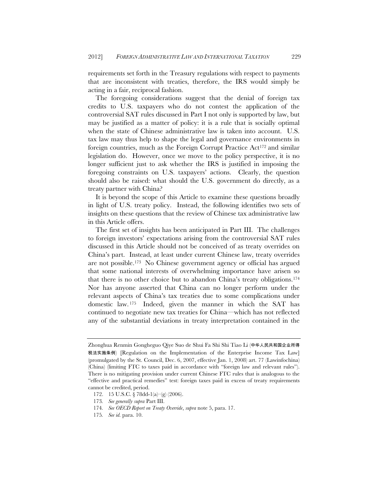requirements set forth in the Treasury regulations with respect to payments that are inconsistent with treaties, therefore, the IRS would simply be acting in a fair, reciprocal fashion.

The foregoing considerations suggest that the denial of foreign tax credits to U.S. taxpayers who do not contest the application of the controversial SAT rules discussed in Part I not only is supported by law, but may be justified as a matter of policy: it is a rule that is socially optimal when the state of Chinese administrative law is taken into account. U.S. tax law may thus help to shape the legal and governance environments in foreign countries, much as the Foreign Corrupt Practice Act<sup>172</sup> and similar legislation do. However, once we move to the policy perspective, it is no longer sufficient just to ask whether the IRS is justified in imposing the foregoing constraints on U.S. taxpayers' actions. Clearly, the question should also be raised: what should the U.S. government do directly, as a treaty partner with China?

It is beyond the scope of this Article to examine these questions broadly in light of U.S. treaty policy. Instead, the following identifies two sets of insights on these questions that the review of Chinese tax administrative law in this Article offers.

The first set of insights has been anticipated in Part III. The challenges to foreign investors' expectations arising from the controversial SAT rules discussed in this Article should not be conceived of as treaty overrides on China's part. Instead, at least under current Chinese law, treaty overrides are not possible.173 No Chinese government agency or official has argued that some national interests of overwhelming importance have arisen so that there is no other choice but to abandon China's treaty obligations.174 Nor has anyone asserted that China can no longer perform under the relevant aspects of China's tax treaties due to some complications under domestic law. 175 Indeed, given the manner in which the SAT has continued to negotiate new tax treaties for China—which has not reflected any of the substantial deviations in treaty interpretation contained in the

Zhonghua Renmin Gongheguo Qiye Suo de Shui Fa Shi Shi Tiao Li (中华人民共和国企业所得 税法实施条例) [Regulation on the Implementation of the Enterprise Income Tax Law] (promulgated by the St. Council, Dec. 6, 2007, effective Jan. 1, 2008) art. 77 (Lawinfochina) (China) (limiting FTC to taxes paid in accordance with "foreign law and relevant rules"). There is no mitigating provision under current Chinese FTC rules that is analogous to the "effective and practical remedies" test: foreign taxes paid in excess of treaty requirements cannot be credited, period.

<sup>172. 15</sup> U.S.C. § 78dd-1(a)–(g) (2006).

<sup>173</sup>*. See generally supra* Part III.

<sup>174</sup>*. See OECD Report on Treaty Override*, *supra* note 5, para. 17.

<sup>175</sup>*. See id.* para. 10.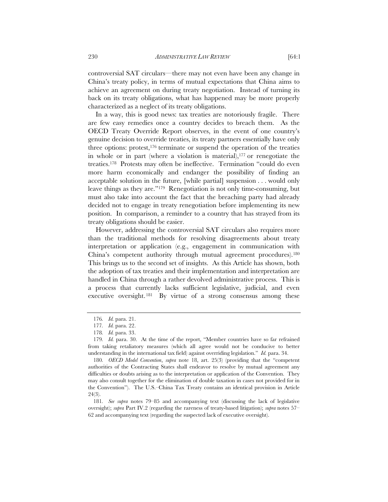controversial SAT circulars—there may not even have been any change in China's treaty policy, in terms of mutual expectations that China aims to achieve an agreement on during treaty negotiation. Instead of turning its back on its treaty obligations, what has happened may be more properly characterized as a neglect of its treaty obligations.

In a way, this is good news: tax treaties are notoriously fragile. There are few easy remedies once a country decides to breach them. As the OECD Treaty Override Report observes, in the event of one country's genuine decision to override treaties, its treaty partners essentially have only three options: protest, $176$  terminate or suspend the operation of the treaties in whole or in part (where a violation is material), $177$  or renegotiate the treaties.178 Protests may often be ineffective. Termination "could do even more harm economically and endanger the possibility of finding an acceptable solution in the future, [while partial] suspension . . . would only leave things as they are."179 Renegotiation is not only time-consuming, but must also take into account the fact that the breaching party had already decided not to engage in treaty renegotiation before implementing its new position. In comparison, a reminder to a country that has strayed from its treaty obligations should be easier.

However, addressing the controversial SAT circulars also requires more than the traditional methods for resolving disagreements about treaty interpretation or application (e.g., engagement in communication with China's competent authority through mutual agreement procedures).180 This brings us to the second set of insights. As this Article has shown, both the adoption of tax treaties and their implementation and interpretation are handled in China through a rather devolved administrative process. This is a process that currently lacks sufficient legislative, judicial, and even executive oversight. 181 By virtue of a strong consensus among these

<sup>176</sup>*. Id.* para. 21.

<sup>177</sup>*. Id.* para. 22.

<sup>178</sup>*. Id.* para. 33.

<sup>179</sup>*. Id.* para. 30. At the time of the report, "Member countries have so far refrained from taking retaliatory measures (which all agree would not be conducive to better understanding in the international tax field) against overriding legislation." *Id.* para. 34.

<sup>180</sup>*. OECD Model Convention*, *supra* note 18, art. 25(3) (providing that the "competent authorities of the Contracting States shall endeavor to resolve by mutual agreement any difficulties or doubts arising as to the interpretation or application of the Convention. They may also consult together for the elimination of double taxation in cases not provided for in the Convention"). The U.S.–China Tax Treaty contains an identical provision in Article 24(3).

<sup>181</sup>*. See supra* notes 79–85 and accompanying text (discussing the lack of legislative oversight); *supra* Part IV.2 (regarding the rareness of treaty-based litigation); *supra* notes 57– 62 and accompanying text (regarding the suspected lack of executive oversight).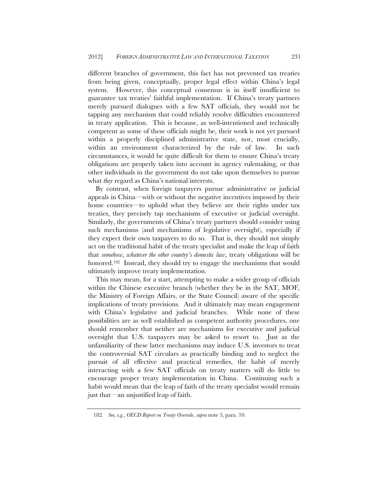different branches of government, this fact has not prevented tax treaties from being given, conceptually, proper legal effect within China's legal system. However, this conceptual consensus is in itself insufficient to guarantee tax treaties' faithful implementation. If China's treaty partners merely pursued dialogues with a few SAT officials, they would not be tapping any mechanism that could reliably resolve difficulties encountered in treaty application. This is because, as well-intentioned and technically competent as some of these officials might be, their work is not yet pursued within a properly disciplined administrative state, nor, most crucially, within an environment characterized by the rule of law. In such circumstances, it would be quite difficult for them to ensure China's treaty obligations are properly taken into account in agency rulemaking, or that other individuals in the government do not take upon themselves to pursue what *they* regard as China's national interests.

By contrast, when foreign taxpayers pursue administrative or judicial appeals in China—with or without the negative incentives imposed by their home countries—to uphold what they believe are their rights under tax treaties, they precisely tap mechanisms of executive or judicial oversight. Similarly, the governments of China's treaty partners should consider using such mechanisms (and mechanisms of legislative oversight), especially if they expect their own taxpayers to do so. That is, they should not simply act on the traditional habit of the treaty specialist and make the leap of faith that *somehow*, *whatever the other country's domestic law*, treaty obligations will be honored.182 Instead, they should try to engage the mechanisms that would ultimately improve treaty implementation.

This may mean, for a start, attempting to make a wider group of officials within the Chinese executive branch (whether they be in the SAT, MOF, the Ministry of Foreign Affairs, or the State Council) aware of the specific implications of treaty provisions. And it ultimately may mean engagement with China's legislative and judicial branches. While none of these possibilities are as well established as competent authority procedures, one should remember that neither are mechanisms for executive and judicial oversight that U.S. taxpayers may be asked to resort to. Just as the unfamiliarity of these latter mechanisms may induce U.S. investors to treat the controversial SAT circulars as practically binding and to neglect the pursuit of all effective and practical remedies, the habit of merely interacting with a few SAT officials on treaty matters will do little to encourage proper treaty implementation in China. Continuing such a habit would mean that the leap of faith of the treaty specialist would remain just that—an unjustified leap of faith.

<sup>182</sup>*. See, e.g.*, *OECD Report on Treaty Override*, *supra* note 5, para. 10.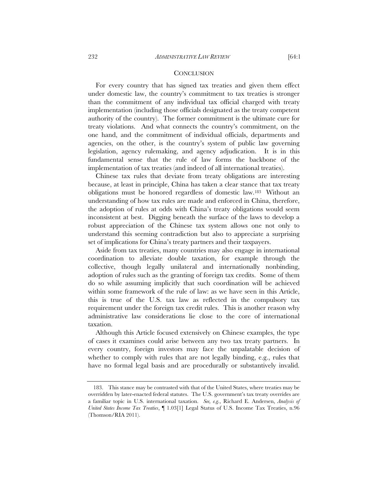#### **CONCLUSION**

For every country that has signed tax treaties and given them effect under domestic law, the country's commitment to tax treaties is stronger than the commitment of any individual tax official charged with treaty implementation (including those officials designated as the treaty competent authority of the country). The former commitment is the ultimate cure for treaty violations. And what connects the country's commitment, on the one hand, and the commitment of individual officials, departments and agencies, on the other, is the country's system of public law governing legislation, agency rulemaking, and agency adjudication. It is in this fundamental sense that the rule of law forms the backbone of the implementation of tax treaties (and indeed of all international treaties).

Chinese tax rules that deviate from treaty obligations are interesting because, at least in principle, China has taken a clear stance that tax treaty obligations must be honored regardless of domestic law.183 Without an understanding of how tax rules are made and enforced in China, therefore, the adoption of rules at odds with China's treaty obligations would seem inconsistent at best. Digging beneath the surface of the laws to develop a robust appreciation of the Chinese tax system allows one not only to understand this seeming contradiction but also to appreciate a surprising set of implications for China's treaty partners and their taxpayers.

Aside from tax treaties, many countries may also engage in international coordination to alleviate double taxation, for example through the collective, though legally unilateral and internationally nonbinding, adoption of rules such as the granting of foreign tax credits. Some of them do so while assuming implicitly that such coordination will be achieved within some framework of the rule of law: as we have seen in this Article, this is true of the U.S. tax law as reflected in the compulsory tax requirement under the foreign tax credit rules. This is another reason why administrative law considerations lie close to the core of international taxation.

Although this Article focused extensively on Chinese examples, the type of cases it examines could arise between any two tax treaty partners. In every country, foreign investors may face the unpalatable decision of whether to comply with rules that are not legally binding, e.g., rules that have no formal legal basis and are procedurally or substantively invalid.

 <sup>183.</sup> This stance may be contrasted with that of the United States, where treaties may be overridden by later-enacted federal statutes. The U.S. government's tax treaty overrides are a familiar topic in U.S. international taxation. *See, e.g.*, Richard E. Andersen, *Analysis of United States Income Tax Treaties*, ¶ 1.03[1] Legal Status of U.S. Income Tax Treaties, n.96 (Thomson/RIA 2011).